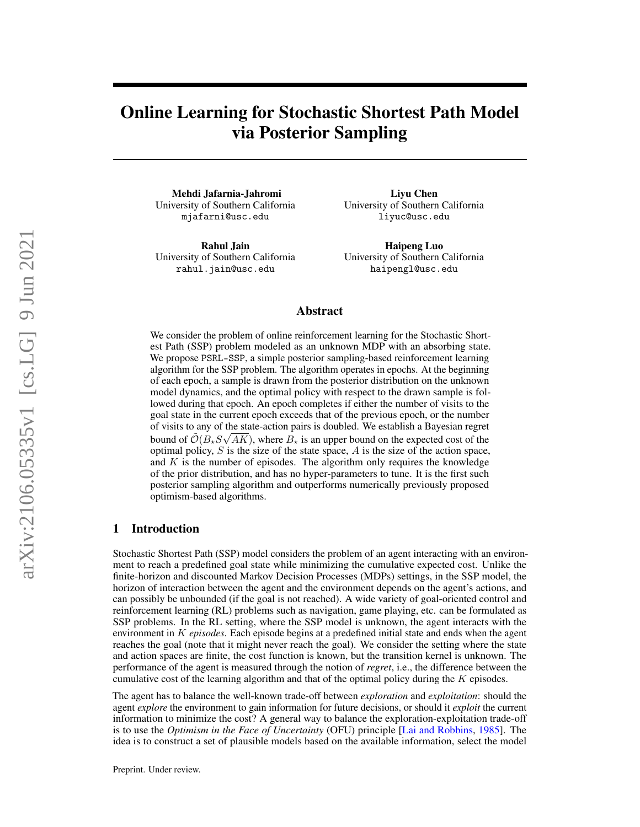# Online Learning for Stochastic Shortest Path Model via Posterior Sampling

Mehdi Jafarnia-Jahromi University of Southern California mjafarni@usc.edu

Rahul Jain University of Southern California rahul.jain@usc.edu

Liyu Chen University of Southern California liyuc@usc.edu

Haipeng Luo University of Southern California haipengl@usc.edu

## Abstract

We consider the problem of online reinforcement learning for the Stochastic Shortest Path (SSP) problem modeled as an unknown MDP with an absorbing state. We propose PSRL-SSP, a simple posterior sampling-based reinforcement learning algorithm for the SSP problem. The algorithm operates in epochs. At the beginning of each epoch, a sample is drawn from the posterior distribution on the unknown model dynamics, and the optimal policy with respect to the drawn sample is followed during that epoch. An epoch completes if either the number of visits to the goal state in the current epoch exceeds that of the previous epoch, or the number of visits to any of the state-action pairs is doubled. We establish a Bayesian regret bound of  $\tilde{\mathcal{O}}(B_\star S\sqrt{AK})$ , where  $B_\star$  is an upper bound on the expected cost of the optimal policy,  $S$  is the size of the state space,  $A$  is the size of the action space, and  $K$  is the number of episodes. The algorithm only requires the knowledge of the prior distribution, and has no hyper-parameters to tune. It is the first such posterior sampling algorithm and outperforms numerically previously proposed optimism-based algorithms.

### 1 Introduction

Stochastic Shortest Path (SSP) model considers the problem of an agent interacting with an environment to reach a predefined goal state while minimizing the cumulative expected cost. Unlike the finite-horizon and discounted Markov Decision Processes (MDPs) settings, in the SSP model, the horizon of interaction between the agent and the environment depends on the agent's actions, and can possibly be unbounded (if the goal is not reached). A wide variety of goal-oriented control and reinforcement learning (RL) problems such as navigation, game playing, etc. can be formulated as SSP problems. In the RL setting, where the SSP model is unknown, the agent interacts with the environment in K *episodes*. Each episode begins at a predefined initial state and ends when the agent reaches the goal (note that it might never reach the goal). We consider the setting where the state and action spaces are finite, the cost function is known, but the transition kernel is unknown. The performance of the agent is measured through the notion of *regret*, i.e., the difference between the cumulative cost of the learning algorithm and that of the optimal policy during the  $K$  episodes.

The agent has to balance the well-known trade-off between *exploration* and *exploitation*: should the agent *explore* the environment to gain information for future decisions, or should it *exploit* the current information to minimize the cost? A general way to balance the exploration-exploitation trade-off is to use the *Optimism in the Face of Uncertainty* (OFU) principle [\[Lai and Robbins,](#page-10-0) [1985\]](#page-10-0). The idea is to construct a set of plausible models based on the available information, select the model

Preprint. Under review.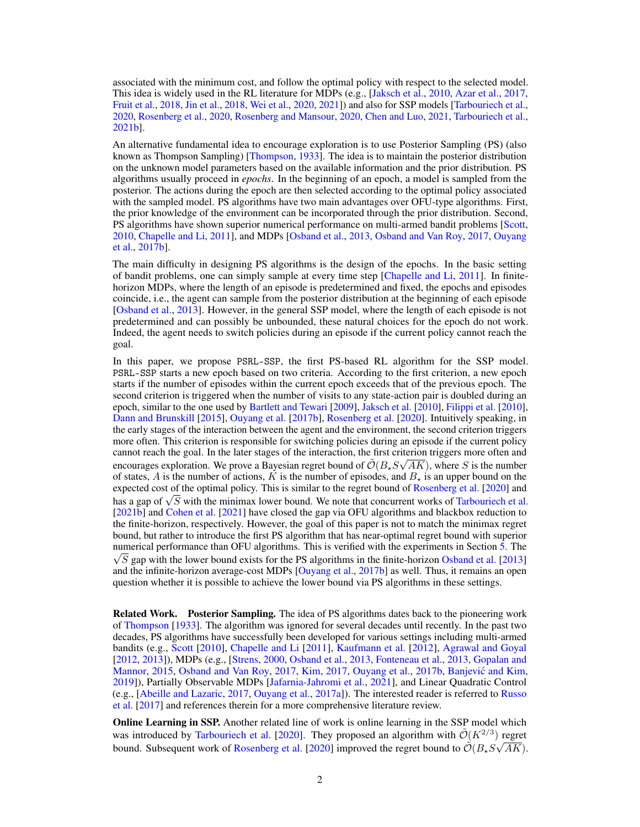associated with the minimum cost, and follow the optimal policy with respect to the selected model. This idea is widely used in the RL literature for MDPs (e.g., [\[Jaksch et al.,](#page-9-0) [2010,](#page-9-0) [Azar et al.,](#page-9-1) [2017,](#page-9-1) [Fruit et al.,](#page-9-2) [2018,](#page-9-2) [Jin et al.,](#page-9-3) [2018,](#page-9-3) [Wei et al.,](#page-10-1) [2020,](#page-10-1) [2021\]](#page-10-2)) and also for SSP models [\[Tarbouriech et al.,](#page-10-3) [2020,](#page-10-3) [Rosenberg et al.,](#page-10-4) [2020,](#page-10-4) [Rosenberg and Mansour,](#page-10-5) [2020,](#page-10-5) [Chen and Luo,](#page-9-4) [2021,](#page-9-4) [Tarbouriech et al.,](#page-10-6) [2021b\]](#page-10-6).

An alternative fundamental idea to encourage exploration is to use Posterior Sampling (PS) (also known as Thompson Sampling) [\[Thompson,](#page-10-7) [1933\]](#page-10-7). The idea is to maintain the posterior distribution on the unknown model parameters based on the available information and the prior distribution. PS algorithms usually proceed in *epochs*. In the beginning of an epoch, a model is sampled from the posterior. The actions during the epoch are then selected according to the optimal policy associated with the sampled model. PS algorithms have two main advantages over OFU-type algorithms. First, the prior knowledge of the environment can be incorporated through the prior distribution. Second, PS algorithms have shown superior numerical performance on multi-armed bandit problems [\[Scott,](#page-10-8) [2010,](#page-10-8) [Chapelle and Li,](#page-9-5) [2011\]](#page-9-5), and MDPs [\[Osband et al.,](#page-10-9) [2013,](#page-10-9) [Osband and Van Roy,](#page-10-10) [2017,](#page-10-10) [Ouyang](#page-10-11) [et al.,](#page-10-11) [2017b\]](#page-10-11).

The main difficulty in designing PS algorithms is the design of the epochs. In the basic setting of bandit problems, one can simply sample at every time step [\[Chapelle and Li,](#page-9-5) [2011\]](#page-9-5). In finitehorizon MDPs, where the length of an episode is predetermined and fixed, the epochs and episodes coincide, i.e., the agent can sample from the posterior distribution at the beginning of each episode [\[Osband et al.,](#page-10-9) [2013\]](#page-10-9). However, in the general SSP model, where the length of each episode is not predetermined and can possibly be unbounded, these natural choices for the epoch do not work. Indeed, the agent needs to switch policies during an episode if the current policy cannot reach the goal.

In this paper, we propose PSRL-SSP, the first PS-based RL algorithm for the SSP model. PSRL-SSP starts a new epoch based on two criteria. According to the first criterion, a new epoch starts if the number of episodes within the current epoch exceeds that of the previous epoch. The second criterion is triggered when the number of visits to any state-action pair is doubled during an epoch, similar to the one used by [Bartlett and Tewari](#page-9-6) [\[2009\]](#page-9-6), [Jaksch et al.](#page-9-0) [\[2010\]](#page-9-0), [Filippi et al.](#page-9-7) [\[2010\]](#page-9-7), [Dann and Brunskill](#page-9-8) [\[2015\]](#page-9-8), [Ouyang et al.](#page-10-11) [\[2017b\]](#page-10-11), [Rosenberg et al.](#page-10-4) [\[2020\]](#page-10-4). Intuitively speaking, in the early stages of the interaction between the agent and the environment, the second criterion triggers more often. This criterion is responsible for switching policies during an episode if the current policy cannot reach the goal. In the later stages of the interaction, the first criterion triggers more often and encourages exploration. We prove a Bayesian regret bound of  $\tilde{\mathcal{O}}(B_{\star}S\sqrt{AK})$ , where S is the number of states, A is the number of actions, K is the number of episodes, and  $B_{+}$  is an upper bound on the expected cost of the optimal policy. This is similar to the regret bound of [Rosenberg et al.](#page-10-4) [\[2020\]](#page-10-4) and expected cost of the optimal policy. This is similar to the regret bound of Rosenberg et al. [2020] and has a gap of  $\sqrt{S}$  with the minimax lower bound. We note that concurrent works of [Tarbouriech et al.](#page-10-6) [\[2021b\]](#page-10-6) and [Cohen et al.](#page-9-9) [\[2021\]](#page-9-9) have closed the gap via OFU algorithms and blackbox reduction to the finite-horizon, respectively. However, the goal of this paper is not to match the minimax regret bound, but rather to introduce the first PS algorithm that has near-optimal regret bound with superior numerical performance than OFU algorithms. This is verified with the experiments in Section [5.](#page-7-0) The  $\sqrt{S}$  gap with the lower bound exists for the PS algorithms in the finite-horizon [Osband et al.](#page-10-9) [\[2013\]](#page-10-9) and the infinite-horizon average-cost MDPs [\[Ouyang et al.,](#page-10-11) [2017b\]](#page-10-11) as well. Thus, it remains an open question whether it is possible to achieve the lower bound via PS algorithms in these settings.

Related Work. Posterior Sampling. The idea of PS algorithms dates back to the pioneering work of [Thompson](#page-10-7) [\[1933\]](#page-10-7). The algorithm was ignored for several decades until recently. In the past two decades, PS algorithms have successfully been developed for various settings including multi-armed bandits (e.g., [Scott](#page-10-8) [\[2010\]](#page-10-8), [Chapelle and Li](#page-9-5) [\[2011\]](#page-9-5), [Kaufmann et al.](#page-9-10) [\[2012\]](#page-9-10), [Agrawal and Goyal](#page-9-11) [\[2012,](#page-9-11) [2013\]](#page-9-12)), MDPs (e.g., [\[Strens,](#page-10-12) [2000,](#page-10-12) [Osband et al.,](#page-10-9) [2013,](#page-10-9) [Fonteneau et al.,](#page-9-13) [2013,](#page-9-13) [Gopalan and](#page-9-14) [Mannor,](#page-9-14) [2015,](#page-9-14) [Osband and Van Roy,](#page-10-10) [2017,](#page-9-15) [Kim,](#page-9-15) 2017, [Ouyang et al.,](#page-10-11) [2017b,](#page-10-11) Banjević and Kim, [2019\]](#page-9-16)), Partially Observable MDPs [\[Jafarnia-Jahromi et al.,](#page-9-17) [2021\]](#page-9-17), and Linear Quadratic Control (e.g., [\[Abeille and Lazaric,](#page-9-18) [2017,](#page-9-18) [Ouyang et al.,](#page-10-13) [2017a\]](#page-10-13)). The interested reader is referred to [Russo](#page-10-14) [et al.](#page-10-14) [\[2017\]](#page-10-14) and references therein for a more comprehensive literature review.

Online Learning in SSP. Another related line of work is online learning in the SSP model which was introduced by [Tarbouriech et al.](#page-10-3) [\[2020\]](#page-10-3). They proposed an algorithm with  $\tilde{\mathcal{O}}(K^{2/3})$  regret bound. Subsequent work of [Rosenberg et al.](#page-10-4) [\[2020\]](#page-10-4) improved the regret bound to  $\tilde{\mathcal{O}}(B_{\star}S\sqrt{AK})$ .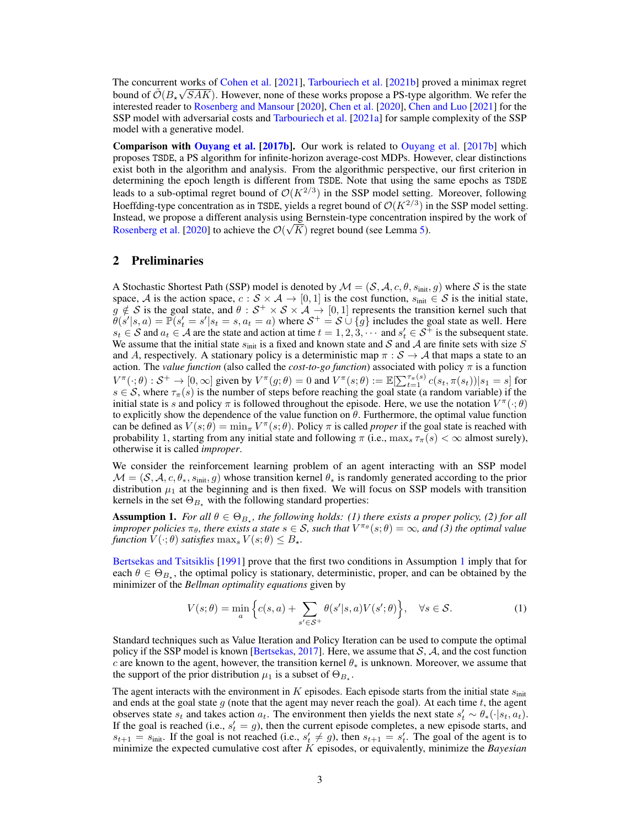The concurrent works of [Cohen et al.](#page-9-9) [\[2021\]](#page-9-9), [Tarbouriech et al.](#page-10-6) [\[2021b\]](#page-10-6) proved a minimax regret bound of  $\tilde{\mathcal{O}}(B_{\star}\sqrt{SAK})$ . However, none of these works propose a PS-type algorithm. We refer the interested reader to [Rosenberg and Mansour](#page-10-5) [\[2020\]](#page-10-5), [Chen et al.](#page-9-19) [\[2020\]](#page-9-19), [Chen and Luo](#page-9-4) [\[2021\]](#page-9-4) for the SSP model with adversarial costs and [Tarbouriech et al.](#page-10-15) [\[2021a\]](#page-10-15) for sample complexity of the SSP model with a generative model.

Comparison with [Ouyang et al.](#page-10-11) [\[2017b\]](#page-10-11). Our work is related to [Ouyang et al.](#page-10-11) [\[2017b\]](#page-10-11) which proposes TSDE, a PS algorithm for infinite-horizon average-cost MDPs. However, clear distinctions exist both in the algorithm and analysis. From the algorithmic perspective, our first criterion in determining the epoch length is different from TSDE. Note that using the same epochs as TSDE leads to a sub-optimal regret bound of  $\mathcal{O}(K^{2/3})$  in the SSP model setting. Moreover, following Hoeffding-type concentration as in TSDE, yields a regret bound of  $\mathcal{O}(K^{2/3})$  in the SSP model setting. Instead, we propose a different analysis using Bernstein-type concentration inspired by the work of √ [Rosenberg et al.](#page-10-4) [\[2020\]](#page-10-4) to achieve the  $\mathcal{O}(\sqrt{K})$  regret bound (see Lemma [5\)](#page-7-1).

# 2 Preliminaries

A Stochastic Shortest Path (SSP) model is denoted by  $\mathcal{M} = (\mathcal{S}, \mathcal{A}, c, \theta, s_{\text{init}}, g)$  where  $\mathcal{S}$  is the state space, A is the action space,  $c : S \times A \rightarrow [0, 1]$  is the cost function,  $s_{\text{init}} \in S$  is the initial state,  $g \notin S$  is the goal state, and  $\theta : S^+ \times S \times A \to [0,1]$  represents the transition kernel such that  $\theta(s'|s, a) = \mathbb{P}(s_t' = s'|s_t = s, a_t = a)$  where  $\mathcal{S}^+ = \mathcal{S} \cup \{g\}$  includes the goal state as well. Here  $s_t \in S$  and  $a_t \in A$  are the state and action at time  $t = 1, 2, 3, \cdots$  and  $s_t \in S^{\pm}$  is the subsequent state. We assume that the initial state  $s_{\text{init}}$  is a fixed and known state and S and A are finite sets with size S and A, respectively. A stationary policy is a deterministic map  $\pi : S \to A$  that maps a state to an action. The *value function* (also called the *cost-to-go function*) associated with policy π is a function  $V^{\pi}(\cdot; \theta) : \mathcal{S}^+ \to [0, \infty]$  given by  $V^{\pi}(g; \theta) = 0$  and  $V^{\pi}(s; \theta) := \mathbb{E}[\sum_{t=1}^{\tau_{\pi}(s)} c(s_t, \pi(s_t)) | s_1 = s]$  for  $s \in S$ , where  $\tau_{\pi}(s)$  is the number of steps before reaching the goal state (a random variable) if the initial state is s and policy  $\pi$  is followed throughout the episode. Here, we use the notation  $V^{\pi}(\cdot; \theta)$ to explicitly show the dependence of the value function on  $\theta$ . Furthermore, the optimal value function can be defined as  $V(s; \theta) = \min_{\pi} V^{\pi}(s; \theta)$ . Policy  $\pi$  is called *proper* if the goal state is reached with probability 1, starting from any initial state and following  $\pi$  (i.e.,  $\max_s \tau_{\pi}(s) < \infty$  almost surely), otherwise it is called *improper*.

We consider the reinforcement learning problem of an agent interacting with an SSP model  $\mathcal{M} = (\mathcal{S}, \mathcal{A}, c, \theta_*, s_{\text{init}}, g)$  whose transition kernel  $\theta_*$  is randomly generated according to the prior distribution  $\mu_1$  at the beginning and is then fixed. We will focus on SSP models with transition kernels in the set  $\Theta_{B_+}$  with the following standard properties:

<span id="page-2-0"></span>**Assumption 1.** For all  $\theta \in \Theta_{B_{\star}}$ , the following holds: (1) there exists a proper policy, (2) for all *improper policies*  $\pi_{\theta}$ *, there exists a state*  $s \in S$ *, such that*  $V^{\pi_{\theta}}(s;\theta) = \infty$ *, and* (3) the optimal value *function*  $V(\cdot; \theta)$  *satisfies* max<sub>s</sub>  $V(s; \theta) \leq B_{\star}$ .

[Bertsekas and Tsitsiklis](#page-9-20) [\[1991\]](#page-9-20) prove that the first two conditions in Assumption [1](#page-2-0) imply that for each  $\theta \in \Theta_{B_{\star}}$ , the optimal policy is stationary, deterministic, proper, and can be obtained by the minimizer of the *Bellman optimality equations* given by

<span id="page-2-1"></span>
$$
V(s; \theta) = \min_{a} \left\{ c(s, a) + \sum_{s' \in \mathcal{S}^+} \theta(s'|s, a) V(s'; \theta) \right\}, \quad \forall s \in \mathcal{S}.
$$
 (1)

Standard techniques such as Value Iteration and Policy Iteration can be used to compute the optimal policy if the SSP model is known [\[Bertsekas,](#page-9-21) [2017\]](#page-9-21). Here, we assume that  $S$ ,  $A$ , and the cost function c are known to the agent, however, the transition kernel  $\theta_*$  is unknown. Moreover, we assume that the support of the prior distribution  $\mu_1$  is a subset of  $\Theta_{B_{\star}}$ .

The agent interacts with the environment in  $K$  episodes. Each episode starts from the initial state  $s<sub>init</sub>$ and ends at the goal state  $g$  (note that the agent may never reach the goal). At each time  $t$ , the agent observes state  $s_t$  and takes action  $a_t$ . The environment then yields the next state  $s'_t \sim \theta_*(\cdot | s_t, a_t)$ . If the goal is reached (i.e.,  $s_t' = g$ ), then the current episode completes, a new episode starts, and  $s_{t+1} = s_{\text{init}}$ . If the goal is not reached (i.e.,  $s'_t \neq g$ ), then  $s_{t+1} = s'_t$ . The goal of the agent is to minimize the expected cumulative cost after K episodes, or equivalently, minimize the *Bayesian*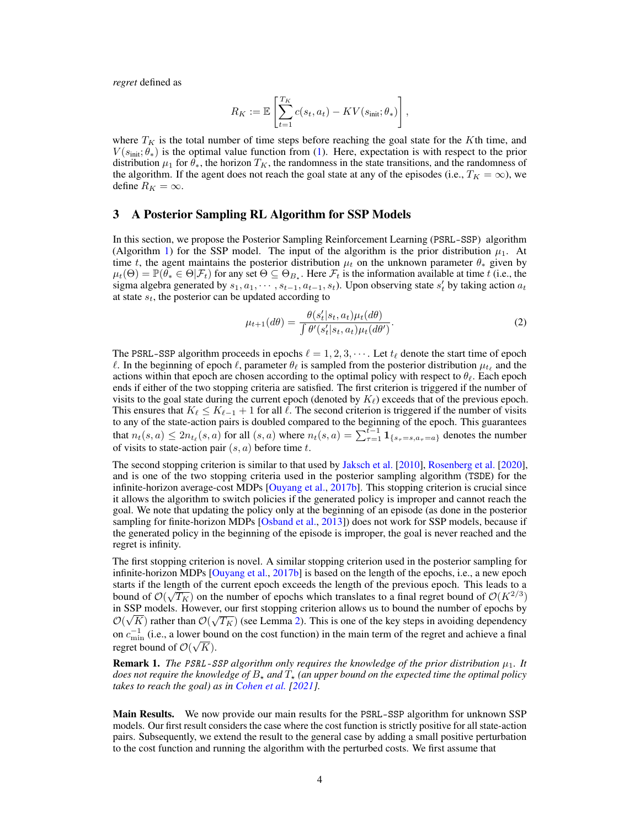*regret* defined as

$$
R_K := \mathbb{E}\left[\sum_{t=1}^{T_K} c(s_t, a_t) - KV(s_{\text{init}}; \theta_*)\right],
$$

where  $T_K$  is the total number of time steps before reaching the goal state for the Kth time, and  $V(s<sub>init</sub>; \theta<sub>*</sub>)$  is the optimal value function from [\(1\)](#page-2-1). Here, expectation is with respect to the prior distribution  $\mu_1$  for  $\theta_*$ , the horizon  $T_K$ , the randomness in the state transitions, and the randomness of the algorithm. If the agent does not reach the goal state at any of the episodes (i.e.,  $T_K = \infty$ ), we define  $R_K = \infty$ .

### 3 A Posterior Sampling RL Algorithm for SSP Models

In this section, we propose the Posterior Sampling Reinforcement Learning (PSRL-SSP) algorithm (Algorithm [1\)](#page-4-0) for the SSP model. The input of the algorithm is the prior distribution  $\mu_1$ . At time t, the agent maintains the posterior distribution  $\mu_t$  on the unknown parameter  $\theta_*$  given by  $\mu_t(\Theta) = \mathbb{P}(\widetilde{\theta_*} \in \Theta | \mathcal{F}_t)$  for any set  $\Theta \subseteq \Theta_{B_*}$ . Here  $\mathcal{F}_t$  is the information available at time t (i.e., the sigma algebra generated by  $s_1, a_1, \cdots, s_{t-1}, a_{t-1}, s_t$ ). Upon observing state  $s'_t$  by taking action  $a_t$ at state  $s_t$ , the posterior can be updated according to

<span id="page-3-0"></span>
$$
\mu_{t+1}(d\theta) = \frac{\theta(s'_t|s_t, a_t)\mu_t(d\theta)}{\int \theta'(s'_t|s_t, a_t)\mu_t(d\theta')}.
$$
\n(2)

The PSRL-SSP algorithm proceeds in epochs  $\ell = 1, 2, 3, \cdots$ . Let  $t_{\ell}$  denote the start time of epoch  $\ell$ . In the beginning of epoch  $\ell$ , parameter  $\theta_{\ell}$  is sampled from the posterior distribution  $\mu_{t_\ell}$  and the actions within that epoch are chosen according to the optimal policy with respect to  $\theta_{\ell}$ . Each epoch ends if either of the two stopping criteria are satisfied. The first criterion is triggered if the number of visits to the goal state during the current epoch (denoted by  $K_{\ell}$ ) exceeds that of the previous epoch. This ensures that  $K_\ell \leq K_{\ell-1} + 1$  for all  $\ell$ . The second criterion is triggered if the number of visits to any of the state-action pairs is doubled compared to the beginning of the epoch. This guarantees that  $n_t(s, a) \le 2n_{t_\ell}(s, a)$  for all  $(s, a)$  where  $n_t(s, a) = \sum_{\tau=1}^{t-1} \mathbf{1}_{\{s_\tau = s, a_\tau = a\}}$  denotes the number of visits to state-action pair  $(s, a)$  before time t.

The second stopping criterion is similar to that used by [Jaksch et al.](#page-9-0) [\[2010\]](#page-9-0), [Rosenberg et al.](#page-10-4) [\[2020\]](#page-10-4), and is one of the two stopping criteria used in the posterior sampling algorithm (TSDE) for the infinite-horizon average-cost MDPs [\[Ouyang et al.,](#page-10-11) [2017b\]](#page-10-11). This stopping criterion is crucial since it allows the algorithm to switch policies if the generated policy is improper and cannot reach the goal. We note that updating the policy only at the beginning of an episode (as done in the posterior sampling for finite-horizon MDPs [\[Osband et al.,](#page-10-9) [2013\]](#page-10-9)) does not work for SSP models, because if the generated policy in the beginning of the episode is improper, the goal is never reached and the regret is infinity.

The first stopping criterion is novel. A similar stopping criterion used in the posterior sampling for infinite-horizon MDPs [\[Ouyang et al.,](#page-10-11) [2017b\]](#page-10-11) is based on the length of the epochs, i.e., a new epoch starts if the length of the current epoch exceeds the length of the previous epoch. This leads to a bound of  $\mathcal{O}(\sqrt{T_K})$  on the number of epochs which translates to a final regret bound of  $\mathcal{O}(K^{2/3})$ in SSP models. However, our first stopping criterion allows us to bound the number of epochs by  $\mathcal{O}(\sqrt{K})$  rather than  $\mathcal{O}(\sqrt{T_K})$  (see Lemma [2\)](#page-5-0). This is one of the key steps in avoiding dependency on  $c_{\min}^{-1}$  (i.e., a lower bound on the cost function) in the main term of the regret and achieve a final regret bound of  $\mathcal{O}(\mathcal{C})$ √  $K$ ).

**Remark 1.** *The PSRL-SSP algorithm only requires the knowledge of the prior distribution*  $\mu_1$ *. It does not require the knowledge of*  $B_{\star}$  *and*  $T_{\star}$  *(an upper bound on the expected time the optimal policy takes to reach the goal) as in [Cohen et al.](#page-9-9) [\[2021\]](#page-9-9).*

Main Results. We now provide our main results for the PSRL-SSP algorithm for unknown SSP models. Our first result considers the case where the cost function is strictly positive for all state-action pairs. Subsequently, we extend the result to the general case by adding a small positive perturbation to the cost function and running the algorithm with the perturbed costs. We first assume that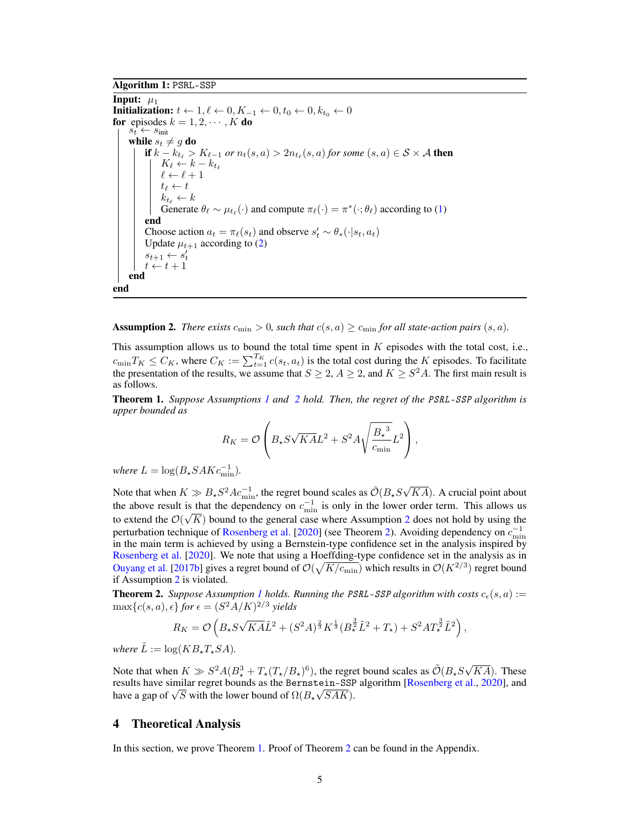Algorithm 1: PSRL-SSP

<span id="page-4-0"></span>Input:  $\mu_1$ **Initialization:**  $t \leftarrow 1, \ell \leftarrow 0, K_{-1} \leftarrow 0, t_0 \leftarrow 0, k_{t_0} \leftarrow 0$ for episodes  $k = 1, 2, \dots, K$  do  $s_t \leftarrow s_{\text{init}}$ while  $s_t \neq g$  do if  $k - k_{t_\ell} > K_{\ell - 1}$  or  $n_t(s, a) > 2n_{t_\ell}(s, a)$  for some  $(s, a) \in \mathcal{S} \times \mathcal{A}$  then  $K_{\ell} \leftarrow k - k_{t_{\ell}}$  $\ell \leftarrow \ell + 1$  $t_{\ell} \leftarrow t$  $k_{t_\ell} \leftarrow k$ Generate  $\theta_\ell \sim \mu_{t_\ell}(\cdot)$  and compute  $\pi_\ell(\cdot) = \pi^*(\cdot; \theta_\ell)$  according to [\(1\)](#page-2-1) end Choose action  $a_t = \pi_\ell(s_t)$  and observe  $s'_t \sim \theta_*(\cdot | s_t, a_t)$ Update  $\mu_{t+1}$  according to [\(2\)](#page-3-0)  $s_{t+1} \leftarrow s_t'$  $t \leftarrow t + 1$ end end

<span id="page-4-1"></span>**Assumption 2.** *There exists*  $c_{\min} > 0$ *, such that*  $c(s, a) \geq c_{\min}$  *for all state-action pairs*  $(s, a)$ *.* 

This assumption allows us to bound the total time spent in  $K$  episodes with the total cost, i.e.,  $c_{\min}T_K \leq C_K$ , where  $C_K := \sum_{t=1}^{T_K} c(s_t, a_t)$  is the total cost during the K episodes. To facilitate the presentation of the results, we assume that  $S \geq 2$ ,  $A \geq 2$ , and  $K \geq S^2 A$ . The first main result is as follows.

<span id="page-4-3"></span>Theorem 1. *Suppose Assumptions [1](#page-2-0) and [2](#page-4-1) hold. Then, the regret of the* PSRL-SSP *algorithm is upper bounded as*

$$
R_K = \mathcal{O}\left(B_\star S\sqrt{K A}L^2 + S^2 A \sqrt{\frac{B_\star^3}{c_{\min}}} L^2\right),\,
$$

*where*  $L = \log(B_* SAKc_{\text{min}}^{-1})$ *.* 

Note that when  $K \gg B_{\star} S^2 A c_{\text{min}}^{-1}$ , the regret bound scales as  $\tilde{\mathcal{O}}(B_{\star} S \sqrt{\frac{2}{\lambda}})$  $KA$ ). A crucial point about the above result is that the dependency on  $c_{\min}^{-1}$  is only in the lower order term. This allows us to extend the  $\mathcal{O}(\sqrt{K})$  bound to the general case where Assumption [2](#page-4-1) does not hold by using the perturbation technique of [Rosenberg et al.](#page-10-4) [\[2020\]](#page-10-4) (see Theorem [2\)](#page-4-2). Avoiding dependency on  $c_{\min}^{-1}$ in the main term is achieved by using a Bernstein-type confidence set in the analysis inspired by [Rosenberg et al.](#page-10-4) [\[2020\]](#page-10-4). We note that using a Hoeffding-type confidence set in the analysis as in [Ouyang et al.](#page-10-11) [\[2017b\]](#page-10-11) gives a regret bound of  $\mathcal{O}(\sqrt{K/c_{\text{min}}})$  which results in  $\mathcal{O}(K^{2/3})$  regret bound if Assumption [2](#page-4-1) is violated.

<span id="page-4-2"></span>**Theorem 2.** Suppose Assumption [1](#page-2-0) holds. Running the PSRL-SSP algorithm with costs  $c_e(s, a) :=$  $\max\{c(s, a), \epsilon\}$  for  $\epsilon = (S^2 A/K)^{2/3}$  yields

$$
R_K = \mathcal{O}\left(B_{\star} S \sqrt{K A} \tilde{L}^2 + (S^2 A)^{\frac{2}{3}} K^{\frac{1}{3}} (B_{\star}^{\frac{3}{2}} \tilde{L}^2 + T_{\star}) + S^2 A T_{\star}^{\frac{3}{2}} \tilde{L}^2\right),
$$

*where*  $\tilde{L} := \log(KB_{\star}T_{\star}SA)$ .

Note that when  $K \gg S^2 A (B_\star^3 + T_\star (T_\star/B_\star)^6)$ , the regret bound scales as  $\tilde{\mathcal{O}}(B_\star S \sqrt{\frac{S^2}{T_\star}S})$  $KA$ ). These results have similar regret bounds as the Bernstein-SSP algorithm [\[Rosenberg et al.,](#page-10-4) [2020\]](#page-10-4), and results have similar regret bounds as the Bernstein-SSP<br>have a gap of  $\sqrt{S}$  with the lower bound of  $\Omega(B_{\star}\sqrt{SAK})$ .

#### 4 Theoretical Analysis

In this section, we prove Theorem [1.](#page-4-3) Proof of Theorem [2](#page-4-2) can be found in the Appendix.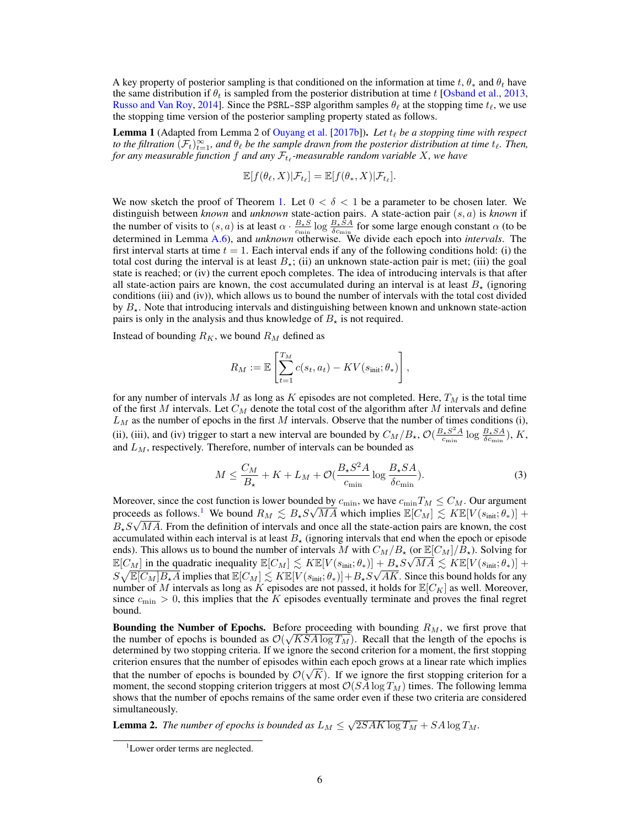A key property of posterior sampling is that conditioned on the information at time t,  $\theta_*$  and  $\theta_t$  have the same distribution if  $\theta_t$  is sampled from the posterior distribution at time t [\[Osband et al.,](#page-10-9) [2013,](#page-10-9) [Russo and Van Roy,](#page-10-16) [2014\]](#page-10-16). Since the PSRL-SSP algorithm samples  $\theta_\ell$  at the stopping time  $t_\ell$ , we use the stopping time version of the posterior sampling property stated as follows.

<span id="page-5-2"></span>**Lemma 1** (Adapted from Lemma 2 of [Ouyang et al.](#page-10-11) [\[2017b\]](#page-10-11)). Let  $t_\ell$  be a stopping time with respect to the filtration  $(\mathcal{F}_t)_{t=1}^\infty$ , and  $\theta_\ell$  be the sample drawn from the posterior distribution at time  $t_\ell$ . Then, for any measurable function  $f$  and any  $\mathcal{F}_{t_\ell}$ -measurable random variable  $X$ , we have

$$
\mathbb{E}[f(\theta_{\ell}, X)|\mathcal{F}_{t_{\ell}}] = \mathbb{E}[f(\theta_{*}, X)|\mathcal{F}_{t_{\ell}}].
$$

We now sketch the proof of Theorem [1.](#page-4-3) Let  $0 < \delta < 1$  be a parameter to be chosen later. We distinguish between *known* and *unknown* state-action pairs. A state-action pair (s, a) is *known* if the number of visits to  $(s, a)$  is at least  $\alpha \cdot \frac{B_{\star} S}{c_{\min}} \log \frac{B_{\star} S A}{\delta c_{\min}}$  for some large enough constant  $\alpha$  (to be determined in Lemma [A.6\)](#page-16-0), and *unknown* otherwise. We divide each epoch into *intervals*. The first interval starts at time  $t = 1$ . Each interval ends if any of the following conditions hold: (i) the total cost during the interval is at least  $B_{\star}$ ; (ii) an unknown state-action pair is met; (iii) the goal state is reached; or (iv) the current epoch completes. The idea of introducing intervals is that after all state-action pairs are known, the cost accumulated during an interval is at least  $B_{\star}$  (ignoring conditions (iii) and (iv)), which allows us to bound the number of intervals with the total cost divided by  $B_{\star}$ . Note that introducing intervals and distinguishing between known and unknown state-action pairs is only in the analysis and thus knowledge of  $B_{\star}$  is not required.

Instead of bounding  $R_K$ , we bound  $R_M$  defined as

$$
R_M := \mathbb{E}\left[\sum_{t=1}^{T_M} c(s_t, a_t) - KV(s_{\text{init}}; \theta_*)\right],
$$

for any number of intervals M as long as K episodes are not completed. Here,  $T_M$  is the total time of the first M intervals. Let  $C_M$  denote the total cost of the algorithm after M intervals and define  $L_M$  as the number of epochs in the first M intervals. Observe that the number of times conditions (i), (ii), (iii), and (iv) trigger to start a new interval are bounded by  $C_M/B_{\star}$ ,  $\mathcal{O}(\frac{B_{\star}S^2A}{C_{\text{min}}}$  $\frac{\beta_{\star} S^2 A}{c_{\min}} \log \frac{B_{\star} S A}{\delta c_{\min}}$ ), K, and  $L_M$ , respectively. Therefore, number of intervals can be bounded as

<span id="page-5-3"></span>
$$
M \le \frac{C_M}{B_{\star}} + K + L_M + \mathcal{O}\left(\frac{B_{\star}S^2A}{c_{\min}}\log\frac{B_{\star}SA}{\delta c_{\min}}\right). \tag{3}
$$

Moreover, since the cost function is lower bounded by  $c_{\min}$ , we have  $c_{\min}T_M \leq C_M$ . Our argument proceeds as follows.<sup>[1](#page-5-1)</sup> We bound  $R_M \lesssim B_* S \sqrt{MA}$  which implies  $\mathbb{E}[C_M] \lesssim K \mathbb{E}[V(s_{\text{init}}; \theta_*)] +$  $B_{\star}S\sqrt{MA}$ . From the definition of intervals and once all the state-action pairs are known, the cost accumulated within each interval is at least  $B_{\star}$  (ignoring intervals that end when the epoch or episode ends). This allows us to bound the number of intervals M with  $C_M/B_{\star}$  (or  $\mathbb{E}[C_M]/B_{\star}$ ). Solving for  $\mathbb{E}[C_M]$  in the quadratic inequality  $\mathbb{E}[C_M] \lesssim K \mathbb{E}[V(s_{\text{init}};\theta_*)] + B_{\star} S \sqrt{MA} \lesssim K \mathbb{E}[V(s_{\text{init}};\theta_*)] +$  $S\sqrt{\mathbb{E}[C_M]B_{\star}A}$  implies that  $\mathbb{E}[C_M]\lesssim K\mathbb{E}[V(s_{\text{init}};\theta_*)]+B_{\star}S\sqrt{AK}.$  Since this bound holds for any number of M intervals as long as K episodes are not passed, it holds for  $\mathbb{E}[C_K]$  as well. Moreover, since  $c_{\text{min}} > 0$ , this implies that the K episodes eventually terminate and proves the final regret bound.

**Bounding the Number of Epochs.** Before proceeding with bounding  $R_M$ , we first prove that the number of epochs is bounded as  $\mathcal{O}(\sqrt{KSA\log T_M})$ . Recall that the length of the epochs is determined by two stopping criteria. If we ignore the second criterion for a moment, the first stopping criterion ensures that the number of episodes within each epoch grows at a linear rate which implies √ that the number of epochs is bounded by  $\mathcal{O}(\sqrt{K})$ . If we ignore the first stopping criterion for a moment, the second stopping criterion triggers at most  $\mathcal{O}(SA\log T_M)$  times. The following lemma shows that the number of epochs remains of the same order even if these two criteria are considered simultaneously.

<span id="page-5-0"></span>**Lemma 2.** The number of epochs is bounded as  $L_M \leq \sqrt{2SAK \log T_M} + SA \log T_M$ .

<span id="page-5-1"></span><sup>&</sup>lt;sup>1</sup>Lower order terms are neglected.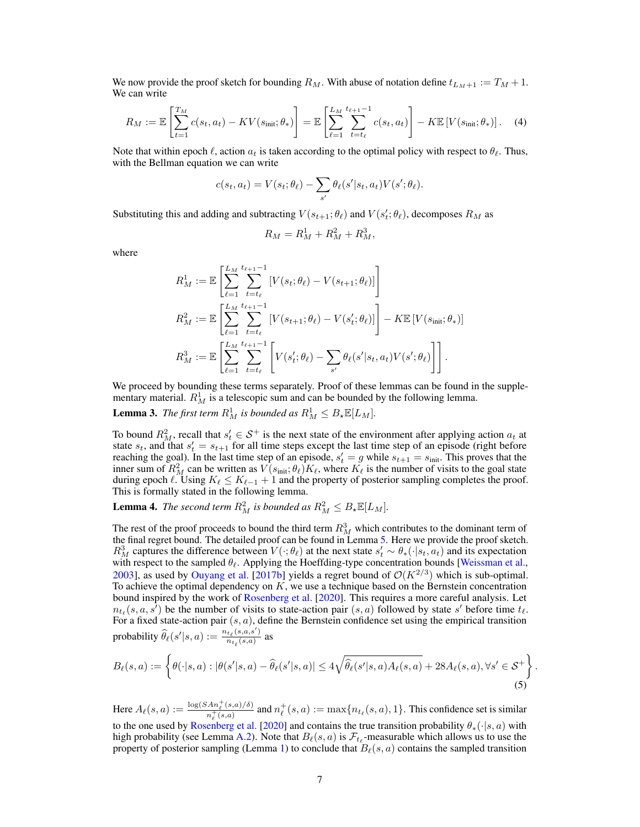We now provide the proof sketch for bounding  $R_M$ . With abuse of notation define  $t_{L_M+1} := T_M + 1$ . We can write

$$
R_M := \mathbb{E}\left[\sum_{t=1}^{T_M} c(s_t, a_t) - KV(s_{\text{init}}; \theta_*)\right] = \mathbb{E}\left[\sum_{\ell=1}^{L_M} \sum_{t=t_\ell}^{t_{\ell+1}-1} c(s_t, a_t)\right] - K \mathbb{E}\left[V(s_{\text{init}}; \theta_*)\right].
$$
 (4)

Note that within epoch  $\ell$ , action  $a_t$  is taken according to the optimal policy with respect to  $\theta_\ell$ . Thus, with the Bellman equation we can write

$$
c(s_t, a_t) = V(s_t; \theta_\ell) - \sum_{s'} \theta_\ell(s'|s_t, a_t) V(s'; \theta_\ell).
$$

Substituting this and adding and subtracting  $V(s_{t+1}; \theta_\ell)$  and  $V(s_t'; \theta_\ell)$ , decomposes  $R_M$  as

$$
R_M = R_M^1 + R_M^2 + R_M^3,
$$

where

$$
R_M^1 := \mathbb{E} \left[ \sum_{\ell=1}^{L_M} \sum_{t=t_\ell}^{t_{\ell+1}-1} [V(s_t; \theta_\ell) - V(s_{t+1}; \theta_\ell)] \right]
$$
  
\n
$$
R_M^2 := \mathbb{E} \left[ \sum_{\ell=1}^{L_M} \sum_{t=t_\ell}^{t_{\ell+1}-1} [V(s_{t+1}; \theta_\ell) - V(s'_t; \theta_\ell)] \right] - K \mathbb{E} [V(s_{\text{init}}; \theta_*)]
$$
  
\n
$$
R_M^3 := \mathbb{E} \left[ \sum_{\ell=1}^{L_M} \sum_{t=t_\ell}^{t_{\ell+1}-1} \left[ V(s'_t; \theta_\ell) - \sum_{s'} \theta_\ell(s'|s_t, a_t) V(s'; \theta_\ell) \right] \right].
$$

We proceed by bounding these terms separately. Proof of these lemmas can be found in the supplementary material.  $R_M^1$  is a telescopic sum and can be bounded by the following lemma.

<span id="page-6-0"></span>**Lemma 3.** The first term  $R_M^1$  is bounded as  $R_M^1 \leq B_{\star} \mathbb{E}[L_M]$ .

To bound  $R_M^2$ , recall that  $s'_t \in S^+$  is the next state of the environment after applying action  $a_t$  at state  $s_t$ , and that  $s'_t = s_{t+1}$  for all time steps except the last time step of an episode (right before reaching the goal). In the last time step of an episode,  $s'_t = g$  while  $s_{t+1} = s_{\text{init}}$ . This proves that the inner sum of  $R_M^2$  can be written as  $V(s_{\text{init}};\theta_\ell)K_\ell$ , where  $K_\ell$  is the number of visits to the goal state during epoch  $\ell$ . Using  $K_{\ell} \leq K_{\ell-1} + 1$  and the property of posterior sampling completes the proof. This is formally stated in the following lemma.

<span id="page-6-1"></span>**Lemma 4.** The second term  $R_M^2$  is bounded as  $R_M^2 \leq B_* \mathbb{E}[L_M]$ .

The rest of the proof proceeds to bound the third term  $R_M^3$  which contributes to the dominant term of the final regret bound. The detailed proof can be found in Lemma [5.](#page-7-1) Here we provide the proof sketch.  $R_M^3$  captures the difference between  $V(\cdot;\theta_\ell)$  at the next state  $s'_t \sim \theta_*(\cdot|s_t, a_t)$  and its expectation with respect to the sampled  $\theta_{\ell}$ . Applying the Hoeffding-type concentration bounds [\[Weissman et al.,](#page-10-17) [2003\]](#page-10-17), as used by [Ouyang et al.](#page-10-11) [\[2017b\]](#page-10-11) yields a regret bound of  $\mathcal{O}(K^{2/3})$  which is sub-optimal. To achieve the optimal dependency on  $K$ , we use a technique based on the Bernstein concentration bound inspired by the work of [Rosenberg et al.](#page-10-4) [\[2020\]](#page-10-4). This requires a more careful analysis. Let  $n_{t_\ell}(s, a, s^\tau)$  be the number of visits to state-action pair  $(s, a)$  followed by state s' before time  $t_\ell$ . For a fixed state-action pair  $(s, a)$ , define the Bernstein confidence set using the empirical transition probability  $\widehat{\theta}_{\ell}(s'|s, a) := \frac{n_{t_{\ell}}(s, a, s')}{n_{t_{\ell}}(s, a)}$  $\frac{n_{t_\ell}(s,a,s)}{n_{t_\ell}(s,a)}$  as

<span id="page-6-2"></span>
$$
B_{\ell}(s,a) := \left\{ \theta(\cdot|s,a) : |\theta(s'|s,a) - \widehat{\theta}_{\ell}(s'|s,a)| \le 4\sqrt{\widehat{\theta}_{\ell}(s'|s,a)A_{\ell}(s,a)} + 28A_{\ell}(s,a), \forall s' \in \mathcal{S}^+ \right\}.
$$
\n
$$
(5)
$$

Here  $A_{\ell}(s, a) := \frac{\log(SAn_{\ell}^{+}(s, a)/\delta)}{n^{+}(s, a)}$  $\frac{An_\ell^+(s,a)/\delta)}{n_\ell^+(s,a)}$  and  $n_\ell^+(s,a) := \max\{n_{t_\ell}(s,a), 1\}$ . This confidence set is similar to the one used by [Rosenberg et al.](#page-10-4) [\[2020\]](#page-10-4) and contains the true transition probability  $\theta_*(\cdot|s, a)$  with high probability (see Lemma [A.2\)](#page-14-0). Note that  $B_{\ell}(s, a)$  is  $\mathcal{F}_{t_{\ell}}$ -measurable which allows us to use the property of posterior sampling (Lemma [1\)](#page-5-2) to conclude that  $B_{\ell}(s, a)$  contains the sampled transition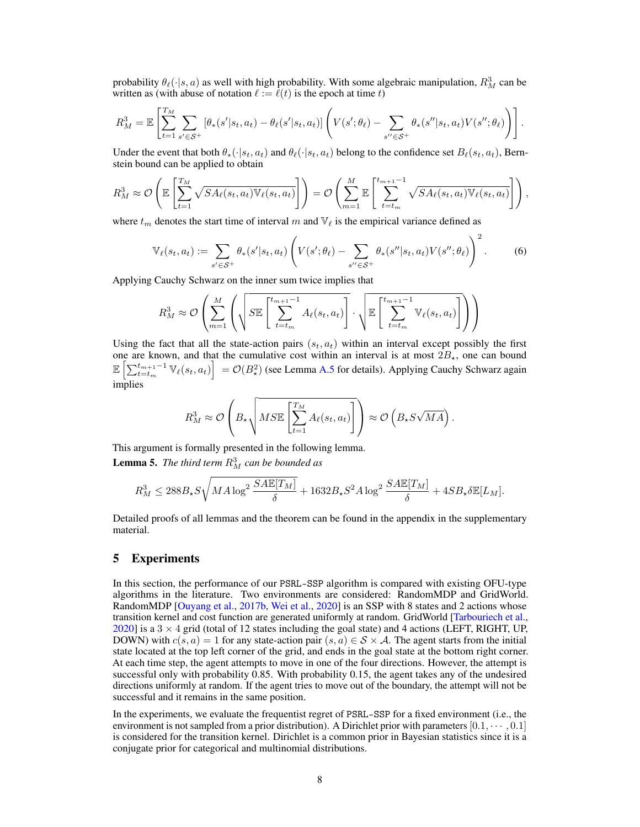probability  $\theta_{\ell}(\cdot|s, a)$  as well with high probability. With some algebraic manipulation,  $R_M^3$  can be written as (with abuse of notation  $\ell := \ell(t)$  is the epoch at time t)

$$
R_M^3 = \mathbb{E}\left[\sum_{t=1}^{T_M}\sum_{s'\in\mathcal{S}^+}\left[\theta_*(s'|s_t,a_t) - \theta_\ell(s'|s_t,a_t)\right]\left(V(s';\theta_\ell) - \sum_{s''\in\mathcal{S}^+}\theta_*(s''|s_t,a_t)V(s'';\theta_\ell)\right)\right].
$$

Under the event that both  $\theta_*(\cdot|s_t, a_t)$  and  $\theta_\ell(\cdot|s_t, a_t)$  belong to the confidence set  $B_\ell(s_t, a_t)$ , Bernstein bound can be applied to obtain

$$
R_M^3 \approx \mathcal{O}\left(\mathbb{E}\left[\sum_{t=1}^{T_M} \sqrt{SA_{\ell}(s_t, a_t)} \mathbb{V}_{\ell}(s_t, a_t)\right]\right) = \mathcal{O}\left(\sum_{m=1}^{M} \mathbb{E}\left[\sum_{t=t_m}^{t_{m+1}-1} \sqrt{SA_{\ell}(s_t, a_t)} \mathbb{V}_{\ell}(s_t, a_t)\right]\right),
$$

where  $t_m$  denotes the start time of interval m and  $\mathbb{V}_\ell$  is the empirical variance defined as

$$
\mathbb{V}_{\ell}(s_t, a_t) := \sum_{s' \in \mathcal{S}^+} \theta_*(s'|s_t, a_t) \left( V(s';\theta_{\ell}) - \sum_{s'' \in \mathcal{S}^+} \theta_*(s''|s_t, a_t) V(s''; \theta_{\ell}) \right)^2.
$$
 (6)

Applying Cauchy Schwarz on the inner sum twice implies that

<span id="page-7-2"></span>
$$
R_M^3 \approx \mathcal{O}\left(\sum_{m=1}^M \left(\sqrt{S\mathbb{E}\left[\sum_{t=t_m}^{t_{m+1}-1} A_\ell(s_t, a_t)\right]} \cdot \sqrt{\mathbb{E}\left[\sum_{t=t_m}^{t_{m+1}-1} \mathbb{V}_\ell(s_t, a_t)\right]}\right)}\right)
$$

Using the fact that all the state-action pairs  $(s_t, a_t)$  within an interval except possibly the first one are known, and that the cumulative cost within an interval is at most  $2B_{\star}$ , one can bound  $\mathbb{E}\left[\sum_{t=t_m}^{t_{m+1}-1} \mathbb{V}_{\ell}(s_t, a_t)\right] = \mathcal{O}(B_\star^2)$  (see Lemma [A.5](#page-16-1) for details). Applying Cauchy Schwarz again implies

$$
R_M^3 \approx \mathcal{O}\left(B_{\star}\sqrt{M\mathcal{S}\mathbb{E}\left[\sum_{t=1}^{T_M} A_{\ell}(s_t, a_t)\right]}\right) \approx \mathcal{O}\left(B_{\star}\mathcal{S}\sqrt{MA}\right).
$$

<span id="page-7-1"></span>This argument is formally presented in the following lemma. **Lemma 5.** The third term  $R_M^3$  can be bounded as

$$
R_M^3 \leq 288 B_\star S \sqrt{M A \log^2 \frac{SA \mathbb{E}[T_M]}{\delta}} + 1632 B_\star S^2 A \log^2 \frac{SA \mathbb{E}[T_M]}{\delta} + 4 S B_\star \delta \mathbb{E}[L_M].
$$

Detailed proofs of all lemmas and the theorem can be found in the appendix in the supplementary material.

# <span id="page-7-0"></span>5 Experiments

In this section, the performance of our PSRL-SSP algorithm is compared with existing OFU-type algorithms in the literature. Two environments are considered: RandomMDP and GridWorld. RandomMDP [\[Ouyang et al.,](#page-10-11) [2017b,](#page-10-11) [Wei et al.,](#page-10-1) [2020\]](#page-10-1) is an SSP with 8 states and 2 actions whose transition kernel and cost function are generated uniformly at random. GridWorld [\[Tarbouriech et al.,](#page-10-3) [2020\]](#page-10-3) is a  $3 \times 4$  grid (total of 12 states including the goal state) and 4 actions (LEFT, RIGHT, UP, DOWN) with  $c(s, a) = 1$  for any state-action pair  $(s, a) \in S \times A$ . The agent starts from the initial state located at the top left corner of the grid, and ends in the goal state at the bottom right corner. At each time step, the agent attempts to move in one of the four directions. However, the attempt is successful only with probability 0.85. With probability 0.15, the agent takes any of the undesired directions uniformly at random. If the agent tries to move out of the boundary, the attempt will not be successful and it remains in the same position.

In the experiments, we evaluate the frequentist regret of PSRL-SSP for a fixed environment (i.e., the environment is not sampled from a prior distribution). A Dirichlet prior with parameters  $[0.1, \cdots, 0.1]$ is considered for the transition kernel. Dirichlet is a common prior in Bayesian statistics since it is a conjugate prior for categorical and multinomial distributions.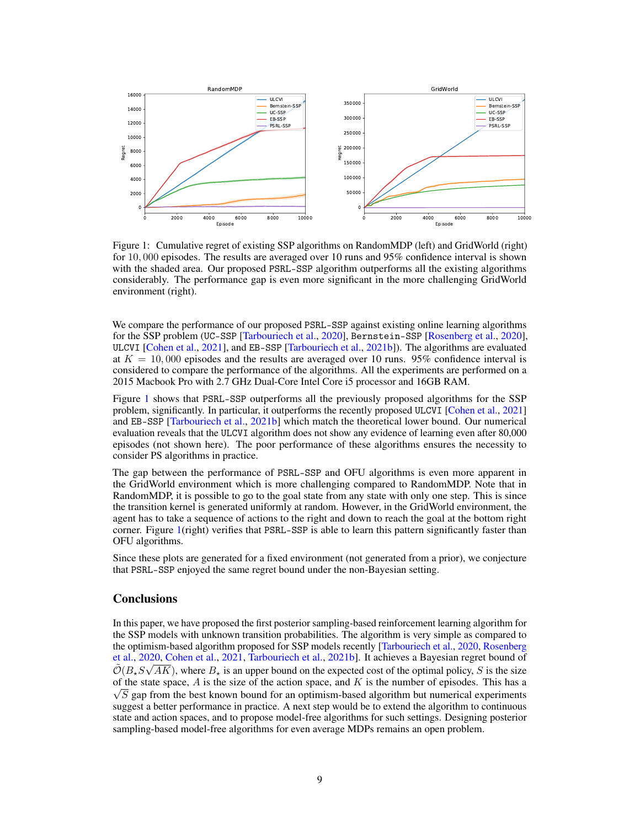

<span id="page-8-0"></span>Figure 1: Cumulative regret of existing SSP algorithms on RandomMDP (left) and GridWorld (right) for 10, 000 episodes. The results are averaged over 10 runs and 95% confidence interval is shown with the shaded area. Our proposed PSRL-SSP algorithm outperforms all the existing algorithms considerably. The performance gap is even more significant in the more challenging GridWorld environment (right).

We compare the performance of our proposed PSRL-SSP against existing online learning algorithms for the SSP problem (UC-SSP [\[Tarbouriech et al.,](#page-10-3) [2020\]](#page-10-3), Bernstein-SSP [\[Rosenberg et al.,](#page-10-4) [2020\]](#page-10-4), ULCVI [\[Cohen et al.,](#page-9-9) [2021\]](#page-9-9), and EB-SSP [\[Tarbouriech et al.,](#page-10-6) [2021b\]](#page-10-6)). The algorithms are evaluated at  $K = 10,000$  episodes and the results are averaged over 10 runs. 95% confidence interval is considered to compare the performance of the algorithms. All the experiments are performed on a 2015 Macbook Pro with 2.7 GHz Dual-Core Intel Core i5 processor and 16GB RAM.

Figure [1](#page-8-0) shows that PSRL-SSP outperforms all the previously proposed algorithms for the SSP problem, significantly. In particular, it outperforms the recently proposed ULCVI [\[Cohen et al.,](#page-9-9) [2021\]](#page-9-9) and EB-SSP [\[Tarbouriech et al.,](#page-10-6) [2021b\]](#page-10-6) which match the theoretical lower bound. Our numerical evaluation reveals that the ULCVI algorithm does not show any evidence of learning even after 80,000 episodes (not shown here). The poor performance of these algorithms ensures the necessity to consider PS algorithms in practice.

The gap between the performance of PSRL-SSP and OFU algorithms is even more apparent in the GridWorld environment which is more challenging compared to RandomMDP. Note that in RandomMDP, it is possible to go to the goal state from any state with only one step. This is since the transition kernel is generated uniformly at random. However, in the GridWorld environment, the agent has to take a sequence of actions to the right and down to reach the goal at the bottom right corner. Figure [1\(](#page-8-0)right) verifies that PSRL-SSP is able to learn this pattern significantly faster than OFU algorithms.

Since these plots are generated for a fixed environment (not generated from a prior), we conjecture that PSRL-SSP enjoyed the same regret bound under the non-Bayesian setting.

# **Conclusions**

In this paper, we have proposed the first posterior sampling-based reinforcement learning algorithm for the SSP models with unknown transition probabilities. The algorithm is very simple as compared to the optimism-based algorithm proposed for SSP models recently [\[Tarbouriech et al.,](#page-10-3) [2020,](#page-10-3) [Rosenberg](#page-10-4) [et al.,](#page-10-4) [2020,](#page-10-4) [Cohen et al.,](#page-9-9) [2021,](#page-9-9) [Tarbouriech et al.,](#page-10-6) [2021b\]](#page-10-6). It achieves a Bayesian regret bound of  $\tilde{\mathcal{O}}(B_*S\sqrt{AK})$ , where  $B_*$  is an upper bound on the expected cost of the optimal policy, S is the size of the state space, A is the size of the action space, and K is the number of episodes. This has a  $\sqrt{S}$  gap from the best known bound for an optimism-based algorithm but numerical experiments suggest a better performance in practice. A next step would be to extend the algorithm to continuous state and action spaces, and to propose model-free algorithms for such settings. Designing posterior sampling-based model-free algorithms for even average MDPs remains an open problem.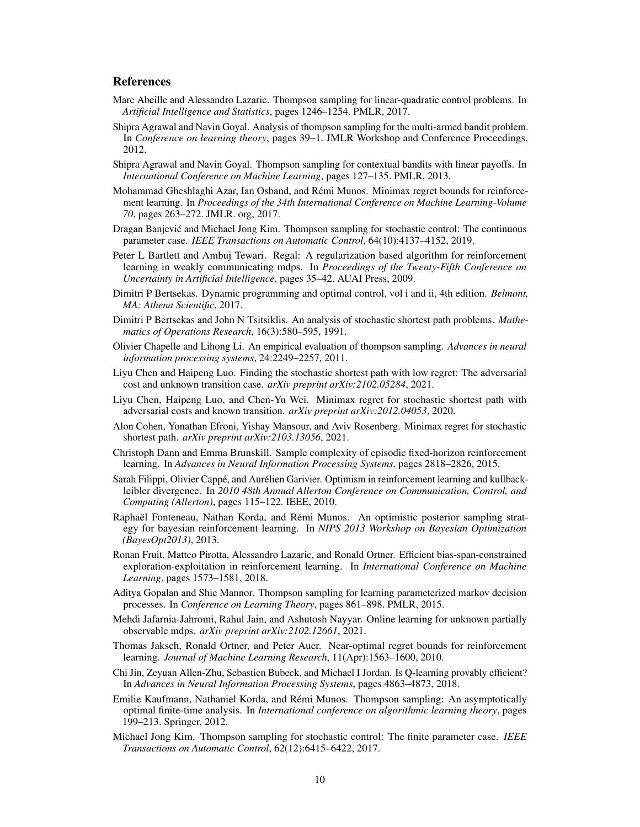# References

- <span id="page-9-18"></span>Marc Abeille and Alessandro Lazaric. Thompson sampling for linear-quadratic control problems. In *Artificial Intelligence and Statistics*, pages 1246–1254. PMLR, 2017.
- <span id="page-9-11"></span>Shipra Agrawal and Navin Goyal. Analysis of thompson sampling for the multi-armed bandit problem. In *Conference on learning theory*, pages 39–1. JMLR Workshop and Conference Proceedings, 2012.
- <span id="page-9-12"></span>Shipra Agrawal and Navin Goyal. Thompson sampling for contextual bandits with linear payoffs. In *International Conference on Machine Learning*, pages 127–135. PMLR, 2013.
- <span id="page-9-1"></span>Mohammad Gheshlaghi Azar, Ian Osband, and Rémi Munos. Minimax regret bounds for reinforcement learning. In *Proceedings of the 34th International Conference on Machine Learning-Volume 70*, pages 263–272. JMLR. org, 2017.
- <span id="page-9-16"></span>Dragan Banjevic and Michael Jong Kim. Thompson sampling for stochastic control: The continuous ´ parameter case. *IEEE Transactions on Automatic Control*, 64(10):4137–4152, 2019.
- <span id="page-9-6"></span>Peter L Bartlett and Ambuj Tewari. Regal: A regularization based algorithm for reinforcement learning in weakly communicating mdps. In *Proceedings of the Twenty-Fifth Conference on Uncertainty in Artificial Intelligence*, pages 35–42. AUAI Press, 2009.
- <span id="page-9-21"></span>Dimitri P Bertsekas. Dynamic programming and optimal control, vol i and ii, 4th edition. *Belmont, MA: Athena Scientific*, 2017.
- <span id="page-9-20"></span>Dimitri P Bertsekas and John N Tsitsiklis. An analysis of stochastic shortest path problems. *Mathematics of Operations Research*, 16(3):580–595, 1991.
- <span id="page-9-5"></span>Olivier Chapelle and Lihong Li. An empirical evaluation of thompson sampling. *Advances in neural information processing systems*, 24:2249–2257, 2011.
- <span id="page-9-4"></span>Liyu Chen and Haipeng Luo. Finding the stochastic shortest path with low regret: The adversarial cost and unknown transition case. *arXiv preprint arXiv:2102.05284*, 2021.
- <span id="page-9-19"></span>Liyu Chen, Haipeng Luo, and Chen-Yu Wei. Minimax regret for stochastic shortest path with adversarial costs and known transition. *arXiv preprint arXiv:2012.04053*, 2020.
- <span id="page-9-9"></span>Alon Cohen, Yonathan Efroni, Yishay Mansour, and Aviv Rosenberg. Minimax regret for stochastic shortest path. *arXiv preprint arXiv:2103.13056*, 2021.
- <span id="page-9-8"></span>Christoph Dann and Emma Brunskill. Sample complexity of episodic fixed-horizon reinforcement learning. In *Advances in Neural Information Processing Systems*, pages 2818–2826, 2015.
- <span id="page-9-7"></span>Sarah Filippi, Olivier Cappé, and Aurélien Garivier. Optimism in reinforcement learning and kullbackleibler divergence. In *2010 48th Annual Allerton Conference on Communication, Control, and Computing (Allerton)*, pages 115–122. IEEE, 2010.
- <span id="page-9-13"></span>Raphaël Fonteneau, Nathan Korda, and Rémi Munos. An optimistic posterior sampling strategy for bayesian reinforcement learning. In *NIPS 2013 Workshop on Bayesian Optimization (BayesOpt2013)*, 2013.
- <span id="page-9-2"></span>Ronan Fruit, Matteo Pirotta, Alessandro Lazaric, and Ronald Ortner. Efficient bias-span-constrained exploration-exploitation in reinforcement learning. In *International Conference on Machine Learning*, pages 1573–1581, 2018.
- <span id="page-9-14"></span>Aditya Gopalan and Shie Mannor. Thompson sampling for learning parameterized markov decision processes. In *Conference on Learning Theory*, pages 861–898. PMLR, 2015.
- <span id="page-9-17"></span>Mehdi Jafarnia-Jahromi, Rahul Jain, and Ashutosh Nayyar. Online learning for unknown partially observable mdps. *arXiv preprint arXiv:2102.12661*, 2021.
- <span id="page-9-0"></span>Thomas Jaksch, Ronald Ortner, and Peter Auer. Near-optimal regret bounds for reinforcement learning. *Journal of Machine Learning Research*, 11(Apr):1563–1600, 2010.
- <span id="page-9-3"></span>Chi Jin, Zeyuan Allen-Zhu, Sebastien Bubeck, and Michael I Jordan. Is Q-learning provably efficient? In *Advances in Neural Information Processing Systems*, pages 4863–4873, 2018.
- <span id="page-9-10"></span>Emilie Kaufmann, Nathaniel Korda, and Rémi Munos. Thompson sampling: An asymptotically optimal finite-time analysis. In *International conference on algorithmic learning theory*, pages 199–213. Springer, 2012.
- <span id="page-9-15"></span>Michael Jong Kim. Thompson sampling for stochastic control: The finite parameter case. *IEEE Transactions on Automatic Control*, 62(12):6415–6422, 2017.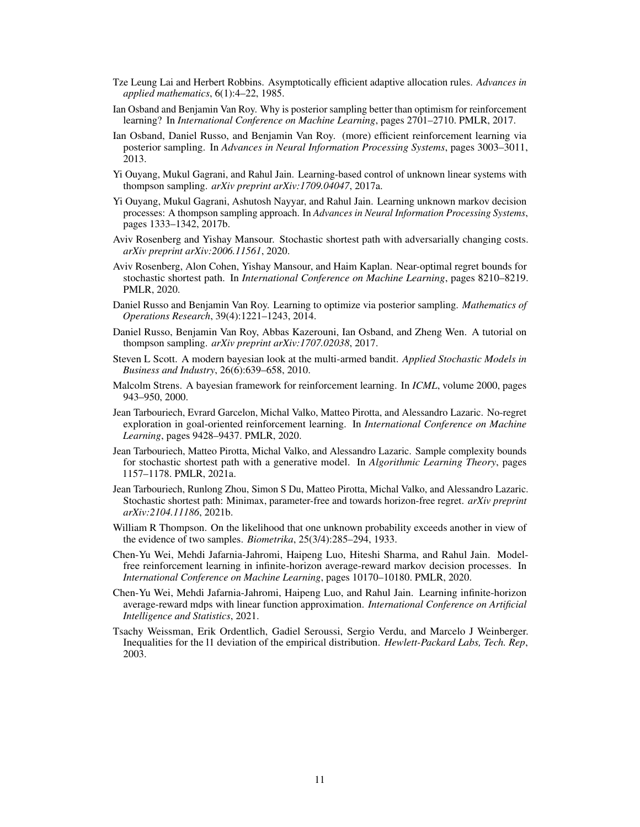- <span id="page-10-0"></span>Tze Leung Lai and Herbert Robbins. Asymptotically efficient adaptive allocation rules. *Advances in applied mathematics*, 6(1):4–22, 1985.
- <span id="page-10-10"></span>Ian Osband and Benjamin Van Roy. Why is posterior sampling better than optimism for reinforcement learning? In *International Conference on Machine Learning*, pages 2701–2710. PMLR, 2017.
- <span id="page-10-9"></span>Ian Osband, Daniel Russo, and Benjamin Van Roy. (more) efficient reinforcement learning via posterior sampling. In *Advances in Neural Information Processing Systems*, pages 3003–3011, 2013.
- <span id="page-10-13"></span>Yi Ouyang, Mukul Gagrani, and Rahul Jain. Learning-based control of unknown linear systems with thompson sampling. *arXiv preprint arXiv:1709.04047*, 2017a.
- <span id="page-10-11"></span>Yi Ouyang, Mukul Gagrani, Ashutosh Nayyar, and Rahul Jain. Learning unknown markov decision processes: A thompson sampling approach. In *Advances in Neural Information Processing Systems*, pages 1333–1342, 2017b.
- <span id="page-10-5"></span>Aviv Rosenberg and Yishay Mansour. Stochastic shortest path with adversarially changing costs. *arXiv preprint arXiv:2006.11561*, 2020.
- <span id="page-10-4"></span>Aviv Rosenberg, Alon Cohen, Yishay Mansour, and Haim Kaplan. Near-optimal regret bounds for stochastic shortest path. In *International Conference on Machine Learning*, pages 8210–8219. PMLR, 2020.
- <span id="page-10-16"></span>Daniel Russo and Benjamin Van Roy. Learning to optimize via posterior sampling. *Mathematics of Operations Research*, 39(4):1221–1243, 2014.
- <span id="page-10-14"></span>Daniel Russo, Benjamin Van Roy, Abbas Kazerouni, Ian Osband, and Zheng Wen. A tutorial on thompson sampling. *arXiv preprint arXiv:1707.02038*, 2017.
- <span id="page-10-8"></span>Steven L Scott. A modern bayesian look at the multi-armed bandit. *Applied Stochastic Models in Business and Industry*, 26(6):639–658, 2010.
- <span id="page-10-12"></span>Malcolm Strens. A bayesian framework for reinforcement learning. In *ICML*, volume 2000, pages 943–950, 2000.
- <span id="page-10-3"></span>Jean Tarbouriech, Evrard Garcelon, Michal Valko, Matteo Pirotta, and Alessandro Lazaric. No-regret exploration in goal-oriented reinforcement learning. In *International Conference on Machine Learning*, pages 9428–9437. PMLR, 2020.
- <span id="page-10-15"></span>Jean Tarbouriech, Matteo Pirotta, Michal Valko, and Alessandro Lazaric. Sample complexity bounds for stochastic shortest path with a generative model. In *Algorithmic Learning Theory*, pages 1157–1178. PMLR, 2021a.
- <span id="page-10-6"></span>Jean Tarbouriech, Runlong Zhou, Simon S Du, Matteo Pirotta, Michal Valko, and Alessandro Lazaric. Stochastic shortest path: Minimax, parameter-free and towards horizon-free regret. *arXiv preprint arXiv:2104.11186*, 2021b.
- <span id="page-10-7"></span>William R Thompson. On the likelihood that one unknown probability exceeds another in view of the evidence of two samples. *Biometrika*, 25(3/4):285–294, 1933.
- <span id="page-10-1"></span>Chen-Yu Wei, Mehdi Jafarnia-Jahromi, Haipeng Luo, Hiteshi Sharma, and Rahul Jain. Modelfree reinforcement learning in infinite-horizon average-reward markov decision processes. In *International Conference on Machine Learning*, pages 10170–10180. PMLR, 2020.
- <span id="page-10-2"></span>Chen-Yu Wei, Mehdi Jafarnia-Jahromi, Haipeng Luo, and Rahul Jain. Learning infinite-horizon average-reward mdps with linear function approximation. *International Conference on Artificial Intelligence and Statistics*, 2021.
- <span id="page-10-17"></span>Tsachy Weissman, Erik Ordentlich, Gadiel Seroussi, Sergio Verdu, and Marcelo J Weinberger. Inequalities for the l1 deviation of the empirical distribution. *Hewlett-Packard Labs, Tech. Rep*, 2003.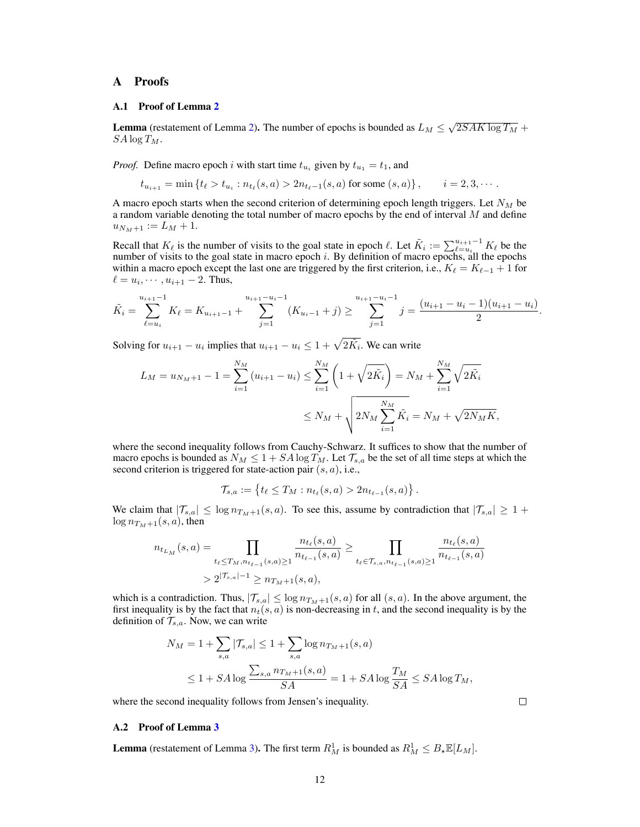# A Proofs

#### A.1 Proof of Lemma [2](#page-5-0)

**Lemma** (restatement of Lemma [2\)](#page-5-0). The number of epochs is bounded as  $L_M \leq \sqrt{2SAK \log T_M} +$  $SA \log T_M$ .

*Proof.* Define macro epoch i with start time  $t_{u_i}$  given by  $t_{u_1} = t_1$ , and

$$
t_{u_{i+1}} = \min \left\{ t_{\ell} > t_{u_i} : n_{t_{\ell}}(s, a) > 2n_{t_{\ell}-1}(s, a) \text{ for some } (s, a) \right\}, \qquad i = 2, 3, \cdots.
$$

A macro epoch starts when the second criterion of determining epoch length triggers. Let  $N_M$  be a random variable denoting the total number of macro epochs by the end of interval  $M$  and define  $u_{N_M+1} := L_M + 1.$ 

Recall that  $K_\ell$  is the number of visits to the goal state in epoch  $\ell$ . Let  $\tilde{K}_i := \sum_{\ell=u_i}^{u_{i+1}-1} K_\ell$  be the number of visits to the goal state in macro epoch  $i$ . By definition of macro epochs, all the epochs within a macro epoch except the last one are triggered by the first criterion, i.e.,  $K_\ell = K_{\ell-1} + 1$  for  $\ell = u_i, \cdots, u_{i+1} - 2$ . Thus,

$$
\tilde{K}_i = \sum_{\ell=u_i}^{u_{i+1}-1} K_\ell = K_{u_{i+1}-1} + \sum_{j=1}^{u_{i+1}-u_i-1} (K_{u_i-1}+j) \ge \sum_{j=1}^{u_{i+1}-u_i-1} j = \frac{(u_{i+1}-u_i-1)(u_{i+1}-u_i)}{2}.
$$

Solving for  $u_{i+1} - u_i$  implies that  $u_{i+1} - u_i \leq 1 + \sqrt{2\tilde{K}_i}$ . We can write

$$
L_M = u_{N_M+1} - 1 = \sum_{i=1}^{N_M} (u_{i+1} - u_i) \le \sum_{i=1}^{N_M} \left( 1 + \sqrt{2\tilde{K}_i} \right) = N_M + \sum_{i=1}^{N_M} \sqrt{2\tilde{K}_i}
$$
  

$$
\le N_M + \sqrt{2N_M \sum_{i=1}^{N_M} \tilde{K}_i} = N_M + \sqrt{2N_M K},
$$

where the second inequality follows from Cauchy-Schwarz. It suffices to show that the number of macro epochs is bounded as  $N_M \leq 1 + SA \log T_M$ . Let  $\mathcal{T}_{s,a}$  be the set of all time steps at which the second criterion is triggered for state-action pair  $(s, a)$ , i.e.,

$$
\mathcal{T}_{s,a} := \{ t_\ell \leq T_M : n_{t_\ell}(s,a) > 2n_{t_{\ell-1}}(s,a) \}.
$$

We claim that  $|\mathcal{T}_{s,a}| \leq \log n_{T_M+1}(s,a)$ . To see this, assume by contradiction that  $|\mathcal{T}_{s,a}| \geq 1 +$  $\log n_{T_M+1}(s, a)$ , then

$$
n_{t_{L_M}}(s, a) = \prod_{t_{\ell} \le T_M, n_{t_{\ell-1}}(s, a) \ge 1} \frac{n_{t_{\ell}}(s, a)}{n_{t_{\ell-1}}(s, a)} \ge \prod_{t_{\ell} \in \mathcal{T}_{s, a}, n_{t_{\ell-1}}(s, a) \ge 1} \frac{n_{t_{\ell}}(s, a)}{n_{t_{\ell-1}}(s, a)}
$$
  
>  $2^{|T_{s, a}|-1} \ge n_{T_M + 1}(s, a),$ 

which is a contradiction. Thus,  $|\mathcal{T}_{s,a}| \leq \log n_{T_M+1}(s,a)$  for all  $(s,a)$ . In the above argument, the first inequality is by the fact that  $n_t(s, a)$  is non-decreasing in t, and the second inequality is by the definition of  $\mathcal{T}_{s,a}$ . Now, we can write

$$
N_M = 1 + \sum_{s,a} |T_{s,a}| \le 1 + \sum_{s,a} \log n_{T_M+1}(s,a)
$$
  

$$
\le 1 + SA \log \frac{\sum_{s,a} n_{T_M+1}(s,a)}{SA} = 1 + SA \log \frac{T_M}{SA} \le SA \log T_M,
$$

where the second inequality follows from Jensen's inequality.

# $\Box$

#### A.2 Proof of Lemma [3](#page-6-0)

**Lemma** (restatement of Lemma [3\)](#page-6-0). The first term  $R_M^1$  is bounded as  $R_M^1 \leq B_{\star} \mathbb{E}[L_M]$ .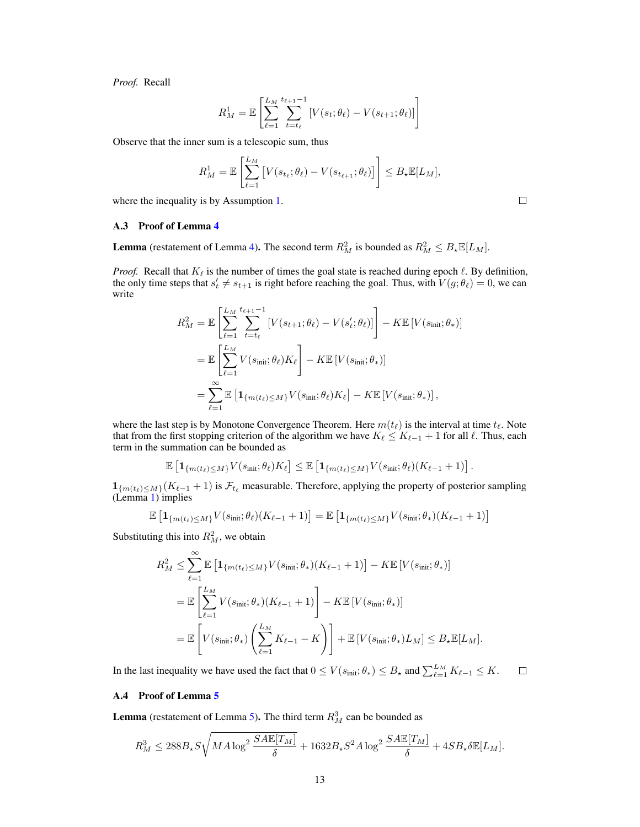*Proof.* Recall

$$
R_M^1 = \mathbb{E}\left[\sum_{\ell=1}^{L_M} \sum_{t=t_\ell}^{t_{\ell+1}-1} \left[ V(s_t; \theta_\ell) - V(s_{t+1}; \theta_\ell) \right] \right]
$$

Observe that the inner sum is a telescopic sum, thus

$$
R_M^1 = \mathbb{E}\left[\sum_{\ell=1}^{L_M} \left[V(s_{t_\ell}; \theta_\ell) - V(s_{t_{\ell+1}}; \theta_\ell)\right]\right] \leq B_\star \mathbb{E}[L_M],
$$

where the inequality is by Assumption [1.](#page-2-0)

A.3 Proof of Lemma [4](#page-6-1)

**Lemma** (restatement of Lemma [4\)](#page-6-1). The second term  $R_M^2$  is bounded as  $R_M^2 \leq B_{\star} \mathbb{E}[L_M]$ .

*Proof.* Recall that  $K_{\ell}$  is the number of times the goal state is reached during epoch  $\ell$ . By definition, the only time steps that  $s'_t \neq s_{t+1}$  is right before reaching the goal. Thus, with  $V(g; \theta_\ell) = 0$ , we can write

$$
R_M^2 = \mathbb{E}\left[\sum_{\ell=1}^{L_M} \sum_{t=t_\ell}^{t_{\ell+1}-1} [V(s_{t+1}; \theta_\ell) - V(s'_t; \theta_\ell)]\right] - K \mathbb{E}\left[V(s_{\text{init}}; \theta_*)\right]
$$
  
\n
$$
= \mathbb{E}\left[\sum_{\ell=1}^{L_M} V(s_{\text{init}}; \theta_\ell) K_\ell\right] - K \mathbb{E}\left[V(s_{\text{init}}; \theta_*)\right]
$$
  
\n
$$
= \sum_{\ell=1}^{\infty} \mathbb{E}\left[\mathbf{1}_{\{m(t_\ell) \le M\}} V(s_{\text{init}}; \theta_\ell) K_\ell\right] - K \mathbb{E}\left[V(s_{\text{init}}; \theta_*)\right],
$$

where the last step is by Monotone Convergence Theorem. Here  $m(t_\ell)$  is the interval at time  $t_\ell$ . Note that from the first stopping criterion of the algorithm we have  $K_\ell \le K_{\ell-1} + 1$  for all  $\ell$ . Thus, each term in the summation can be bounded as

$$
\mathbb{E}\left[\mathbf{1}_{\{m(t_\ell)\leq M\}}V(s_{\text{init}};\theta_\ell)K_\ell\right]\leq \mathbb{E}\left[\mathbf{1}_{\{m(t_\ell)\leq M\}}V(s_{\text{init}};\theta_\ell)(K_{\ell-1}+1)\right].
$$

 $1_{\{m(t_\ell)\leq M\}}(K_{\ell-1} + 1)$  is  $\mathcal{F}_{t_\ell}$  measurable. Therefore, applying the property of posterior sampling (Lemma [1\)](#page-5-2) implies

$$
\mathbb{E}\left[\mathbf{1}_{\{m(t_\ell)\leq M\}}V(s_{\text{init}};\theta_\ell)(K_{\ell-1}+1)\right]=\mathbb{E}\left[\mathbf{1}_{\{m(t_\ell)\leq M\}}V(s_{\text{init}};\theta_*)(K_{\ell-1}+1)\right]
$$

Substituting this into  $R_M^2$ , we obtain

$$
R_M^2 \leq \sum_{\ell=1}^{\infty} \mathbb{E} \left[ \mathbf{1}_{\{m(t_\ell) \leq M\}} V(s_{\text{init}}; \theta_*)(K_{\ell-1} + 1) \right] - K \mathbb{E} \left[ V(s_{\text{init}}; \theta_*) \right]
$$
  
= 
$$
\mathbb{E} \left[ \sum_{\ell=1}^{L_M} V(s_{\text{init}}; \theta_*)(K_{\ell-1} + 1) \right] - K \mathbb{E} \left[ V(s_{\text{init}}; \theta_*) \right]
$$
  
= 
$$
\mathbb{E} \left[ V(s_{\text{init}}; \theta_*) \left( \sum_{\ell=1}^{L_M} K_{\ell-1} - K \right) \right] + \mathbb{E} \left[ V(s_{\text{init}}; \theta_*) L_M \right] \leq B_{\star} \mathbb{E} [L_M].
$$

In the last inequality we have used the fact that  $0 \le V(s_{\text{init}}; \theta_*) \le B_{\star}$  and  $\sum_{\ell=1}^{L_M} K_{\ell-1} \le K$ .  $\Box$ 

#### A.4 Proof of Lemma [5](#page-7-1)

**Lemma** (restatement of Lemma [5\)](#page-7-1). The third term  $R_M^3$  can be bounded as

$$
R_M^3 \leq 288 B_\star S \sqrt{M A \log^2 \frac{SA \mathbb{E}[T_M]}{\delta}} + 1632 B_\star S^2 A \log^2 \frac{SA \mathbb{E}[T_M]}{\delta} + 4SB_\star \delta \mathbb{E}[L_M].
$$

|  | ____ |  |  |
|--|------|--|--|
|  |      |  |  |
|  |      |  |  |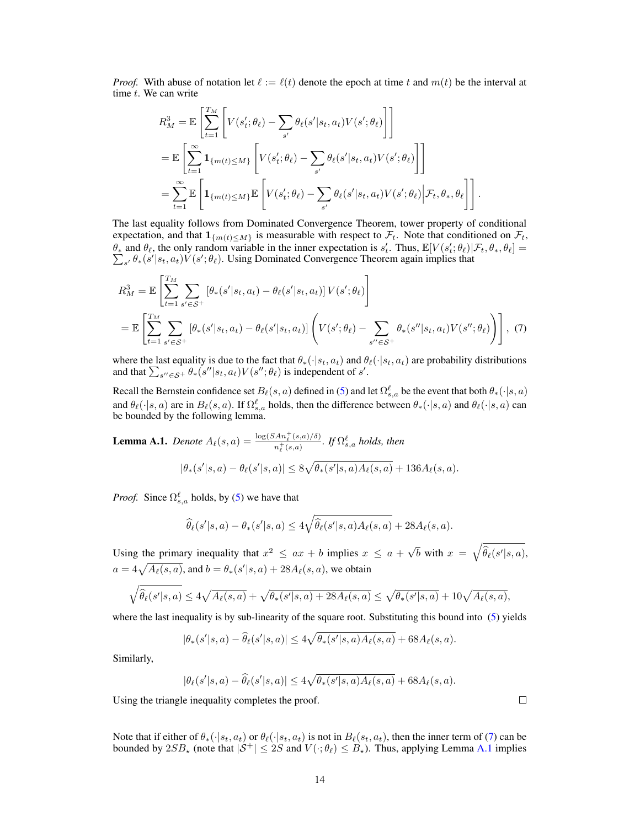*Proof.* With abuse of notation let  $\ell := \ell(t)$  denote the epoch at time t and  $m(t)$  be the interval at time t. We can write

$$
R_M^3 = \mathbb{E}\left[\sum_{t=1}^{T_M} \left[V(s'_t; \theta_\ell) - \sum_{s'} \theta_\ell(s'|s_t, a_t)V(s'; \theta_\ell)\right]\right]
$$
  
\n
$$
= \mathbb{E}\left[\sum_{t=1}^{\infty} \mathbf{1}_{\{m(t) \le M\}} \left[V(s'_t; \theta_\ell) - \sum_{s'} \theta_\ell(s'|s_t, a_t)V(s'; \theta_\ell)\right]\right]
$$
  
\n
$$
= \sum_{t=1}^{\infty} \mathbb{E}\left[\mathbf{1}_{\{m(t) \le M\}} \mathbb{E}\left[V(s'_t; \theta_\ell) - \sum_{s'} \theta_\ell(s'|s_t, a_t)V(s'; \theta_\ell)\Big| \mathcal{F}_t, \theta_*, \theta_\ell\right]\right].
$$

The last equality follows from Dominated Convergence Theorem, tower property of conditional expectation, and that  $1_{\{m(t)\leq M\}}$  is measurable with respect to  $\mathcal{F}_t$ . Note that conditioned on  $\mathcal{F}_t$ ,  $\theta_*$  and  $\theta_\ell$ , the only random variable in the inner expectation is  $s'_t$ . Thus,  $\mathbb{E}[V(s'_t; \theta_\ell)|\mathcal{F}_t, \theta_*, \theta_\ell] =$  $\sum_{s'} \theta_* (s'|s_t, a_t) V(s'; \theta_\ell)$ . Using Dominated Convergence Theorem again implies that

$$
R_M^3 = \mathbb{E}\left[\sum_{t=1}^{T_M} \sum_{s' \in \mathcal{S}^+} \left[\theta_*(s'|s_t, a_t) - \theta_\ell(s'|s_t, a_t)\right] V(s'; \theta_\ell)\right]
$$
  
= 
$$
\mathbb{E}\left[\sum_{t=1}^{T_M} \sum_{s' \in \mathcal{S}^+} \left[\theta_*(s'|s_t, a_t) - \theta_\ell(s'|s_t, a_t)\right] \left(V(s'; \theta_\ell) - \sum_{s'' \in \mathcal{S}^+} \theta_*(s''|s_t, a_t) V(s''; \theta_\ell)\right)\right], (7)
$$

where the last equality is due to the fact that  $\theta_*(\cdot|s_t, a_t)$  and  $\theta_\ell(\cdot|s_t, a_t)$  are probability distributions and that  $\sum_{s'' \in \mathcal{S}^+} \theta_*(s'' | s_t, a_t) V(s''; \theta_\ell)$  is independent of s'.

Recall the Bernstein confidence set  $B_\ell(s, a)$  defined in [\(5\)](#page-6-2) and let  $\Omega_{s,a}^\ell$  be the event that both  $\theta_*(\cdot|s, a)$ and  $\theta_\ell(\cdot|s, a)$  are in  $B_\ell(s, a)$ . If  $\Omega_{s, a}^{\ell}$  holds, then the difference between  $\theta_*(\cdot|s, a)$  and  $\theta_\ell(\cdot|s, a)$  can be bounded by the following lemma.

<span id="page-13-1"></span>**Lemma A.1.** Denote 
$$
A_{\ell}(s, a) = \frac{\log(SAn_{\ell}^{+}(s, a)/\delta)}{n_{\ell}^{+}(s, a)}
$$
. If  $\Omega_{s,a}^{\ell}$  holds, then  

$$
|\theta_{*}(s'|s, a) - \theta_{\ell}(s'|s, a)| \le 8\sqrt{\theta_{*}(s'|s, a)A_{\ell}(s, a)} + 136A_{\ell}(s, a).
$$

*Proof.* Since  $\Omega_{s,a}^{\ell}$  holds, by [\(5\)](#page-6-2) we have that

$$
\widehat{\theta}_{\ell}(s'|s,a) - \theta_*(s'|s,a) \le 4\sqrt{\widehat{\theta}_{\ell}(s'|s,a)A_{\ell}(s,a)} + 28A_{\ell}(s,a).
$$

Using the primary inequality that  $x^2 \le ax + b$  implies  $x \le a + \sqrt{b}$  $\overline{b}$  with  $x = \sqrt{\widehat{\theta}_{\ell}(s'|s, a)},$  $a = 4\sqrt{A_{\ell}(s, a)}$ , and  $b = \theta_*(s'|s, a) + 28A_{\ell}(s, a)$ , we obtain

$$
\sqrt{\widehat{\theta}_{\ell}(s'|s,a)} \le 4\sqrt{A_{\ell}(s,a)} + \sqrt{\theta_{*}(s'|s,a) + 28A_{\ell}(s,a)} \le \sqrt{\theta_{*}(s'|s,a)} + 10\sqrt{A_{\ell}(s,a)},
$$

where the last inequality is by sub-linearity of the square root. Substituting this bound into [\(5\)](#page-6-2) yields

$$
|\theta_*(s'|s,a) - \widehat{\theta}_{\ell}(s'|s,a)| \le 4\sqrt{\theta_*(s'|s,a)A_{\ell}(s,a)} + 68A_{\ell}(s,a).
$$

Similarly,

$$
|\theta_{\ell}(s'|s,a) - \widehat{\theta}_{\ell}(s'|s,a)| \le 4\sqrt{\theta_*(s'|s,a)A_{\ell}(s,a)} + 68A_{\ell}(s,a).
$$

Using the triangle inequality completes the proof.

Note that if either of  $\theta_*(\cdot|s_t, a_t)$  or  $\theta_\ell(\cdot|s_t, a_t)$  is not in  $B_\ell(s_t, a_t)$ , then the inner term of [\(7\)](#page-13-0) can be bounded by  $2SB_{\star}$  (note that  $|S^+| \leq 2S$  and  $V(\cdot; \theta_\ell) \leq B_{\star}$ ). Thus, applying Lemma [A.1](#page-13-1) implies

<span id="page-13-0"></span> $\Box$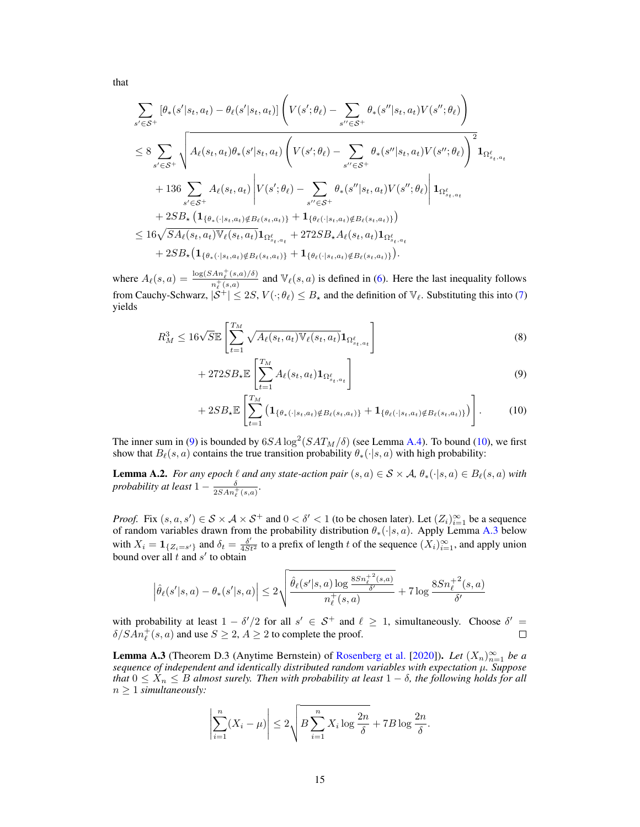that

$$
\sum_{s' \in S^{+}} [\theta_{*}(s'|s_{t}, a_{t}) - \theta_{\ell}(s'|s_{t}, a_{t})] \left( V(s';\theta_{\ell}) - \sum_{s'' \in S^{+}} \theta_{*}(s''|s_{t}, a_{t}) V(s'';\theta_{\ell}) \right)
$$
\n
$$
\leq 8 \sum_{s' \in S^{+}} \sqrt{A_{\ell}(s_{t}, a_{t}) \theta_{*}(s'|s_{t}, a_{t}) \left( V(s';\theta_{\ell}) - \sum_{s'' \in S^{+}} \theta_{*}(s''|s_{t}, a_{t}) V(s'';\theta_{\ell}) \right)^{2} \mathbf{1}_{\Omega_{s_{t}, a_{t}}^{\ell}}
$$
\n
$$
+ 136 \sum_{s' \in S^{+}} A_{\ell}(s_{t}, a_{t}) \left| V(s';\theta_{\ell}) - \sum_{s'' \in S^{+}} \theta_{*}(s''|s_{t}, a_{t}) V(s'';\theta_{\ell}) \right| \mathbf{1}_{\Omega_{s_{t}, a_{t}}^{\ell}}
$$
\n
$$
+ 2SB_{\star} \left( \mathbf{1}_{\{\theta_{*}(\cdot|s_{t}, a_{t}) \notin B_{\ell}(s_{t}, a_{t})\}} + \mathbf{1}_{\{\theta_{\ell}(\cdot|s_{t}, a_{t}) \notin B_{\ell}(s_{t}, a_{t})\}} \right)
$$
\n
$$
\leq 16 \sqrt{SA_{\ell}(s_{t}, a_{t})} \mathbb{V}_{\ell}(s_{t}, a_{t}) \mathbf{1}_{\Omega_{s_{t}, a_{t}}^{\ell}} + 272SB_{\star}A_{\ell}(s_{t}, a_{t}) \mathbf{1}_{\Omega_{s_{t}, a_{t}}^{\ell}}
$$
\n
$$
+ 2SB_{\star} \left( \mathbf{1}_{\{\theta_{*}(\cdot|s_{t}, a_{t}) \notin B_{\ell}(s_{t}, a_{t})\}} + \mathbf{1}_{\{\theta_{\ell}(\cdot|s_{t}, a_{t}) \notin B_{\ell}(s_{t}, a_{t})\}} \right).
$$

where  $A_{\ell}(s, a) = \frac{\log(SAn_{\ell}^{+}(s, a)/\delta)}{n^{+}(s, a)}$  $\frac{An_\ell^-(s,a)/\delta)}{an_\ell^+(s,a)}$  and  $\mathbb{V}_\ell(s,a)$  is defined in [\(6\)](#page-7-2). Here the last inequality follows from Cauchy-Schwarz,  $|\mathcal{S}^+| \le 2S$ ,  $V(\cdot; \theta_\ell) \le B_\star$  and the definition of  $\mathbb{V}_\ell$ . Substituting this into [\(7\)](#page-13-0) yields

$$
R_M^3 \le 16\sqrt{S}\mathbb{E}\left[\sum_{t=1}^{T_M} \sqrt{A_\ell(s_t, a_t)} \mathbb{V}_\ell(s_t, a_t) \mathbf{1}_{\Omega_{s_t, a_t}^\ell}\right]
$$
(8)

<span id="page-14-4"></span>
$$
+ 272SB_{\star} \mathbb{E}\left[\sum_{t=1}^{T_M} A_{\ell}(s_t, a_t) \mathbf{1}_{\Omega_{s_t, a_t}^{\ell}}\right]
$$
\n
$$
(9)
$$

<span id="page-14-2"></span><span id="page-14-1"></span>
$$
+ 2SB_*\mathbb{E}\left[\sum_{t=1}^{T_M} \left(\mathbf{1}_{\{\theta_*(\cdot|s_t,a_t)\notin B_\ell(s_t,a_t)\}} + \mathbf{1}_{\{\theta_\ell(\cdot|s_t,a_t)\notin B_\ell(s_t,a_t)\}}\right)\right].
$$
 (10)

The inner sum in [\(9\)](#page-14-1) is bounded by  $6SA \log^2(SAT_M/\delta)$  (see Lemma [A.4\)](#page-16-2). To bound [\(10\)](#page-14-2), we first show that  $B_{\ell}(s, a)$  contains the true transition probability  $\theta_*(\cdot|s, a)$  with high probability:

<span id="page-14-0"></span>**Lemma A.2.** *For any epoch*  $\ell$  *and any state-action pair*  $(s, a) \in S \times A$ ,  $\theta_*(\cdot | s, a) \in B_{\ell}(s, a)$  *with probability at least*  $1 - \frac{\delta}{2SAn_{\ell}^+(s,a)}$ .

*Proof.* Fix  $(s, a, s') \in S \times A \times S^+$  and  $0 < \delta' < 1$  (to be chosen later). Let  $(Z_i)_{i=1}^{\infty}$  be a sequence of random variables drawn from the probability distribution  $\theta_*(\cdot|s, a)$ . Apply Lemma [A.3](#page-14-3) below with  $X_i = \mathbf{1}_{\{Z_i = s'\}}$  and  $\delta_t = \frac{\delta'}{4St^2}$  to a prefix of length t of the sequence  $(X_i)_{i=1}^{\infty}$ , and apply union bound over all t and  $s'$  to obtain

$$
\left|\hat{\theta}_{\ell}(s'|s,a) - \theta_*(s'|s,a)\right| \leq 2\sqrt{\frac{\hat{\theta}_{\ell}(s'|s,a)\log\frac{8Sn_{\ell}^{+2}(s,a)}{\delta'}}{n_{\ell}^+(s,a)}} + 7\log\frac{8Sn_{\ell}^{+2}(s,a)}{\delta'}
$$

with probability at least  $1 - \delta'/2$  for all  $s' \in S^+$  and  $\ell \ge 1$ , simultaneously. Choose  $\delta' =$  $\delta/SAn_{\ell}^{+}(s, a)$  and use  $S \geq 2, A \geq 2$  to complete the proof.  $\Box$ 

<span id="page-14-3"></span>**Lemma A.3** (Theorem D.3 (Anytime Bernstein) of [Rosenberg et al.](#page-10-4) [\[2020\]](#page-10-4)). *Let*  $(X_n)_{n=1}^{\infty}$  *be a sequence of independent and identically distributed random variables with expectation* µ*. Suppose that*  $0 \le X_n \le B$  *almost surely. Then with probability at least*  $1 - \delta$ *, the following holds for all*  $n \geq 1$  *simultaneously:* 

$$
\left|\sum_{i=1}^{n} (X_i - \mu)\right| \le 2\sqrt{B\sum_{i=1}^{n} X_i \log \frac{2n}{\delta}} + 7B\log \frac{2n}{\delta}.
$$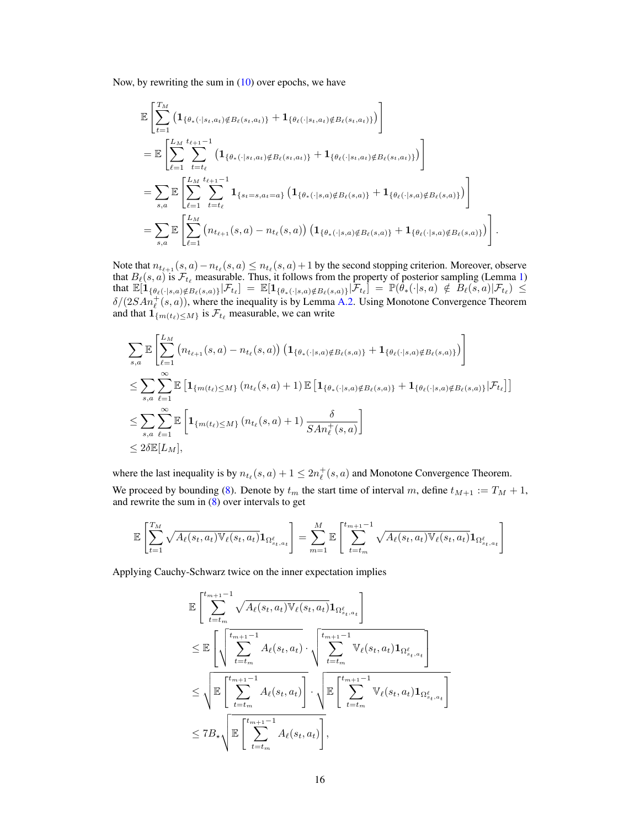Now, by rewriting the sum in  $(10)$  over epochs, we have

$$
\mathbb{E}\left[\sum_{t=1}^{T_{M}}\left(\mathbf{1}_{\{\theta_{*}(\cdot|s_{t},a_{t})\notin B_{\ell}(s_{t},a_{t})\}}+\mathbf{1}_{\{\theta_{\ell}(\cdot|s_{t},a_{t})\notin B_{\ell}(s_{t},a_{t})\}}\right)\right]
$$
\n
$$
=\mathbb{E}\left[\sum_{\ell=1}^{L_{M}}\sum_{t=t_{\ell}}^{t_{\ell+1}-1}\left(\mathbf{1}_{\{\theta_{*}(\cdot|s_{t},a_{t})\notin B_{\ell}(s_{t},a_{t})\}}+\mathbf{1}_{\{\theta_{\ell}(\cdot|s_{t},a_{t})\notin B_{\ell}(s_{t},a_{t})\}}\right)\right]
$$
\n
$$
=\sum_{s,a}\mathbb{E}\left[\sum_{\ell=1}^{L_{M}}\sum_{t=t_{\ell}}^{t_{\ell+1}-1}\mathbf{1}_{\{s_{t}=s,a_{t}=a\}}\left(\mathbf{1}_{\{\theta_{*}(\cdot|s,a)\notin B_{\ell}(s,a)\}}+\mathbf{1}_{\{\theta_{\ell}(\cdot|s,a)\notin B_{\ell}(s,a)\}}\right)\right]
$$
\n
$$
=\sum_{s,a}\mathbb{E}\left[\sum_{\ell=1}^{L_{M}}\left(n_{t_{\ell+1}}(s,a)-n_{t_{\ell}}(s,a)\right)\left(\mathbf{1}_{\{\theta_{*}(\cdot|s,a)\notin B_{\ell}(s,a)\}}+\mathbf{1}_{\{\theta_{\ell}(\cdot|s,a)\notin B_{\ell}(s,a)\}}\right)\right].
$$

Note that  $n_{t_{\ell+1}}(s, a) - n_{t_\ell}(s, a) \leq n_{t_\ell}(s, a) + 1$  by the second stopping criterion. Moreover, observe that  $B_{\ell}(s, a)$  is  $\mathcal{F}_{t_{\ell}}$  measurable. Thus, it follows from the property of posterior sampling (Lemma [1\)](#page-5-2) that  $\mathbb{E}[i_{\{\theta_\ell(\cdot|s,a)\notin B_\ell(s,a)\}}|\mathcal{F}_{t_\ell}] = \mathbb{E}[i_{\{\theta_*(\cdot|s,a)\notin B_\ell(s,a)\}}|\mathcal{F}_{t_\ell}] = \mathbb{P}(\theta_*(\cdot|s,a) \notin B_\ell(s,a)|\mathcal{F}_{t_\ell}) \le$  $\delta/(2SAn_{\ell}^{+}(s, a))$ , where the inequality is by Lemma [A.2.](#page-14-0) Using Monotone Convergence Theorem and that  $\mathbf{1}_{\{m(t_\ell) \leq M\}}$  is  $\mathcal{F}_{t_\ell}$  measurable, we can write

$$
\sum_{s,a} \mathbb{E} \left[ \sum_{\ell=1}^{L_M} \left( n_{t_{\ell+1}}(s,a) - n_{t_{\ell}}(s,a) \right) \left( \mathbf{1}_{\{\theta_*(\cdot|s,a)\notin B_{\ell}(s,a)\}} + \mathbf{1}_{\{\theta_{\ell}(\cdot|s,a)\notin B_{\ell}(s,a)\}} \right) \right]
$$
\n
$$
\leq \sum_{s,a} \sum_{\ell=1}^{\infty} \mathbb{E} \left[ \mathbf{1}_{\{m(t_{\ell}) \leq M\}} \left( n_{t_{\ell}}(s,a) + 1 \right) \mathbb{E} \left[ \mathbf{1}_{\{\theta_*(\cdot|s,a)\notin B_{\ell}(s,a)\}} + \mathbf{1}_{\{\theta_{\ell}(\cdot|s,a)\notin B_{\ell}(s,a)\}} \right] \mathcal{F}_{t_{\ell}} \right]
$$
\n
$$
\leq \sum_{s,a} \sum_{\ell=1}^{\infty} \mathbb{E} \left[ \mathbf{1}_{\{m(t_{\ell}) \leq M\}} \left( n_{t_{\ell}}(s,a) + 1 \right) \frac{\delta}{S A n_{\ell}^+(s,a)} \right]
$$
\n
$$
\leq 2\delta \mathbb{E}[L_M],
$$

where the last inequality is by  $n_{t_\ell}(s, a) + 1 \leq 2n_\ell^+(s, a)$  and Monotone Convergence Theorem.

We proceed by bounding [\(8\)](#page-14-4). Denote by  $t_m$  the start time of interval m, define  $t_{M+1} := T_M + 1$ , and rewrite the sum in [\(8\)](#page-14-4) over intervals to get

$$
\mathbb{E}\left[\sum_{t=1}^{T_M} \sqrt{A_{\ell}(s_t, a_t)} \mathbb{V}_{\ell}(s_t, a_t) \mathbf{1}_{\Omega_{s_t, a_t}^{\ell}}\right] = \sum_{m=1}^{M} \mathbb{E}\left[\sum_{t=t_m}^{t_{m+1}-1} \sqrt{A_{\ell}(s_t, a_t)} \mathbb{V}_{\ell}(s_t, a_t) \mathbf{1}_{\Omega_{s_t, a_t}^{\ell}}\right]
$$

Applying Cauchy-Schwarz twice on the inner expectation implies

$$
\mathbb{E}\left[\sum_{t=t_m}^{t_{m+1}-1} \sqrt{A_{\ell}(s_t, a_t)\mathbb{V}_{\ell}(s_t, a_t)} \mathbf{1}_{\Omega_{s_t, a_t}^{\ell}}\right]
$$
\n
$$
\leq \mathbb{E}\left[\sqrt{\sum_{t=t_m}^{t_{m+1}-1} A_{\ell}(s_t, a_t)} \cdot \sqrt{\sum_{t=t_m}^{t_{m+1}-1} \mathbb{V}_{\ell}(s_t, a_t)} \mathbf{1}_{\Omega_{s_t, a_t}^{\ell}}\right]
$$
\n
$$
\leq \sqrt{\mathbb{E}\left[\sum_{t=t_m}^{t_{m+1}-1} A_{\ell}(s_t, a_t)\right]} \cdot \sqrt{\mathbb{E}\left[\sum_{t=t_m}^{t_{m+1}-1} \mathbb{V}_{\ell}(s_t, a_t) \mathbf{1}_{\Omega_{s_t, a_t}^{\ell}}\right]}
$$
\n
$$
\leq 7B_{\star}\sqrt{\mathbb{E}\left[\sum_{t=t_m}^{t_{m+1}-1} A_{\ell}(s_t, a_t)\right]},
$$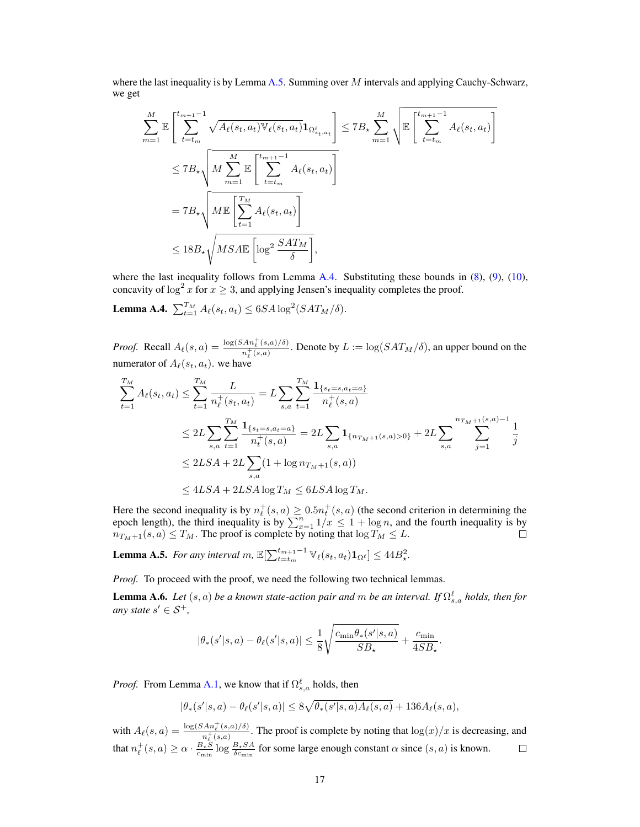where the last inequality is by Lemma [A.5.](#page-16-1) Summing over  $M$  intervals and applying Cauchy-Schwarz, we get

$$
\sum_{m=1}^{M} \mathbb{E}\left[\sum_{t=t_m}^{t_{m+1}-1} \sqrt{A_{\ell}(s_t, a_t) \mathbb{V}_{\ell}(s_t, a_t)} \mathbf{1}_{\Omega_{s_t, a_t}^{\ell}}\right] \leq 7B_{\star} \sum_{m=1}^{M} \sqrt{\mathbb{E}\left[\sum_{t=t_m}^{t_{m+1}-1} A_{\ell}(s_t, a_t)\right]}
$$
\n
$$
\leq 7B_{\star} \sqrt{M \sum_{m=1}^{M} \mathbb{E}\left[\sum_{t=t_m}^{t_{m+1}-1} A_{\ell}(s_t, a_t)\right]}
$$
\n
$$
= 7B_{\star} \sqrt{M \mathbb{E}\left[\sum_{t=1}^{T_M} A_{\ell}(s_t, a_t)\right]}
$$
\n
$$
\leq 18B_{\star} \sqrt{MSA \mathbb{E}\left[\log^2 \frac{SAT_M}{\delta}\right]},
$$

where the last inequality follows from Lemma [A.4.](#page-16-2) Substituting these bounds in  $(8)$ ,  $(9)$ ,  $(10)$ , concavity of  $\log^2 x$  for  $x \geq 3$ , and applying Jensen's inequality completes the proof.

<span id="page-16-2"></span>**Lemma A.4.**  $\sum_{t=1}^{T_M} A_\ell(s_t, a_t) \leq 6SA \log^2(SAT_M/\delta).$ 

*Proof.* Recall  $A_\ell(s, a) = \frac{\log(SAn_\ell^+(s, a)/\delta)}{n + (s, a)}$  $\frac{An_{\ell}(s,a)/\delta)}{n_{\ell}^+(s,a)}$ . Denote by  $L := \log(SAT_M/\delta)$ , an upper bound on the numerator of  $A_{\ell}(s_t, a_t)$ . we have

$$
\sum_{t=1}^{T_M} A_{\ell}(s_t, a_t) \le \sum_{t=1}^{T_M} \frac{L}{n_{\ell}^+(s_t, a_t)} = L \sum_{s,a} \sum_{t=1}^{T_M} \frac{\mathbf{1}_{\{s_t = s, a_t = a\}}}{n_{\ell}^+(s, a)}
$$
\n
$$
\le 2L \sum_{s,a} \sum_{t=1}^{T_M} \frac{\mathbf{1}_{\{s_t = s, a_t = a\}}}{n_{\ell}^+(s, a)} = 2L \sum_{s,a} \mathbf{1}_{\{n_{T_M+1}(s,a) > 0\}} + 2L \sum_{s,a} \sum_{j=1}^{n_{T_M+1}(s,a)-1} \frac{1}{j}
$$
\n
$$
\le 2LSA + 2L \sum_{s,a} (1 + \log n_{T_M+1}(s, a))
$$
\n
$$
\le 4LSA + 2LSA \log T_M \le 6LSA \log T_M.
$$

Here the second inequality is by  $n_{\ell}^{+}(s, a) \ge 0.5n_{t}^{+}(s, a)$  (the second criterion in determining the epoch length), the third inequality is by  $\sum_{x=1}^{n} 1/x \le 1 + \log n$ , and the fourth inequality is by  $n_{T_M+1}(s, a) \le T_M$ . The proof is complete by noting that  $\log T_M \le L$ .

<span id="page-16-1"></span>**Lemma A.5.** *For any interval m,*  $\mathbb{E}[\sum_{t=t_m}^{t_{m+1}-1} \mathbb{V}_{\ell}(s_t, a_t) \mathbf{1}_{\Omega^{\ell}}] \leq 44B_\star^2$ .

*Proof.* To proceed with the proof, we need the following two technical lemmas.

<span id="page-16-0"></span>**Lemma A.6.** *Let*  $(s, a)$  *be a known state-action pair and m be an interval. If*  $\Omega_{s,a}^{\ell}$  *holds, then for any state*  $s' \in S^+$ ,

$$
|\theta_*(s'|s,a) - \theta_\ell(s'|s,a)| \leq \frac{1}{8}\sqrt{\frac{c_{\min}\theta_*(s'|s,a)}{SB_\star}} + \frac{c_{\min}}{4SB_\star}.
$$

*Proof.* From Lemma [A.1,](#page-13-1) we know that if  $\Omega_{s,a}^{\ell}$  holds, then

$$
|\theta_*(s'|s, a) - \theta_\ell(s'|s, a)| \le 8\sqrt{\theta_*(s'|s, a)A_\ell(s, a)} + 136A_\ell(s, a),
$$

with  $A_{\ell}(s, a) = \frac{\log(SAn_{\ell}^{+}(s, a)/\delta)}{n^{+}(s, a)}$  $\frac{An_{\ell}(s,a)/\delta}{n_{\ell}^+(s,a)}$ . The proof is complete by noting that  $\log(x)/x$  is decreasing, and that  $n_{\ell}^+(s, a) \ge \alpha \cdot \frac{B_{\star} S}{c_{\min}} \log \frac{B_{\star} S A}{\delta c_{\min}}$  for some large enough constant  $\alpha$  since  $(s, a)$  is known.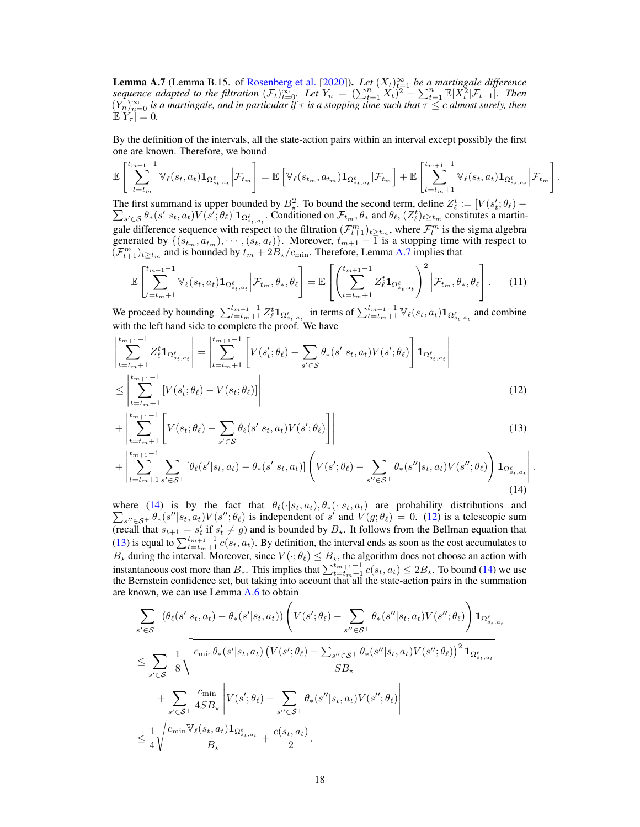<span id="page-17-0"></span>**Lemma A.7** (Lemma B.15. of [Rosenberg et al.](#page-10-4) [\[2020\]](#page-10-4)). *Let*  $(X_t)_{t=1}^{\infty}$  *be a martingale difference sequence adapted to the filtration*  $(\mathcal{F}_t)_{t=0}^{\infty}$ . Let  $Y_n = (\sum_{t=1}^n X_t)^2 - \sum_{t=1}^n \mathbb{E}[X_t^2 | \mathcal{F}_{t-1}]$ . Then  $(Y_n)_{n=0}^\infty$  *is a martingale, and in particular if*  $\tau$  *is a stopping time such that*  $\tau \le c$  *almost surely, then*  $\mathbb{E}[Y_\tau] = 0.$ 

By the definition of the intervals, all the state-action pairs within an interval except possibly the first one are known. Therefore, we bound

$$
\mathbb{E}\left[\sum_{t=t_m}^{t_{m+1}-1} \mathbb{V}_{\ell}(s_t, a_t) \mathbf{1}_{\Omega_{s_t, a_t}^{\ell}} \bigg| \mathcal{F}_{t_m}\right] = \mathbb{E}\left[\mathbb{V}_{\ell}(s_{t_m}, a_{t_m}) \mathbf{1}_{\Omega_{s_t, a_t}^{\ell}} \big| \mathcal{F}_{t_m}\right] + \mathbb{E}\left[\sum_{t=t_m+1}^{t_{m+1}-1} \mathbb{V}_{\ell}(s_t, a_t) \mathbf{1}_{\Omega_{s_t, a_t}^{\ell}} \big| \mathcal{F}_{t_m}\right]
$$

<span id="page-17-4"></span><span id="page-17-3"></span><span id="page-17-2"></span><span id="page-17-1"></span>.

The first summand is upper bounded by  $B^2$ . To bound the second term, define  $Z^t_\ell := [V(s'_t; \theta_\ell) -$ The first summand is upper bounded by  $D_x$ . To bound the second term, define  $Z_\ell := [V(s_\ell; \sigma_\ell) - \sum_{s' \in S} \theta_* (s'|s_\ell, a_t) V(s'; \theta_\ell)] \mathbf{1}_{\Omega^{\ell}_{s_\ell, a_t}}$ . Conditioned on  $\mathcal{F}_{t_m}, \theta_*$  and  $\theta_\ell, (Z^{\ell}_{\ell})_{t \geq t_m}$  constitutes a ma gale difference sequence with respect to the filtration  $(\mathcal{F}_{t+1}^m)_{t\geq t_m}$ , where  $\mathcal{F}_t^m$  is the sigma algebra generated by  $\{(s_{t_m}, a_{t_m}), \cdots, (s_t, a_t)\}\$ . Moreover,  $t_{m+1} - \overline{1}$  is a stopping time with respect to  $(\mathcal{F}_{t+1}^m)_{t\geq t_m}$  and is bounded by  $t_m + 2B_\star/c_{\text{min}}$ . Therefore, Lemma [A.7](#page-17-0) implies that

$$
\mathbb{E}\left[\sum_{t=t_m+1}^{t_{m+1}-1} \mathbb{V}_{\ell}(s_t, a_t) \mathbf{1}_{\Omega_{s_t, a_t}^{\ell}} \Big| \mathcal{F}_{t_m}, \theta_*, \theta_{\ell}\right] = \mathbb{E}\left[\left(\sum_{t=t_m+1}^{t_{m+1}-1} Z_{\ell}^{t} \mathbf{1}_{\Omega_{s_t, a_t}^{\ell}}\right)^2 \Big| \mathcal{F}_{t_m}, \theta_*, \theta_{\ell}\right].
$$
 (11)

We proceed by bounding  $\sum_{t=t_m+1}^{t_{m+1}-1} Z_{\ell}^{t} \mathbf{1}_{\Omega_{s_t,a_t}^{\ell}}$  in terms of  $\sum_{t=t_m+1}^{t_{m+1}-1} \mathbb{V}_{\ell}(s_t, a_t) \mathbf{1}_{\Omega_{s_t,a_t}^{\ell}}$  and combine with the left hand side to complete the proof. We have

$$
\begin{aligned}\n\left| \sum_{t=t_{m}+1}^{t_{m+1}-1} Z_{\ell}^{t} \mathbf{1}_{\Omega_{s_{t},a_{t}}^{\ell}} \right| &= \left| \sum_{t=t_{m}+1}^{t_{m+1}-1} \left[ V(s_{t}^{\prime}; \theta_{\ell}) - \sum_{s^{\prime} \in \mathcal{S}} \theta_{*}(s^{\prime} | s_{t}, a_{t}) V(s^{\prime}; \theta_{\ell}) \right] \mathbf{1}_{\Omega_{s_{t},a_{t}}^{\ell}} \right| \\
&\leq \left| \sum_{t=t_{m}+1}^{t_{m+1}-1} \left[ V(s_{t}^{\prime}; \theta_{\ell}) - V(s_{t}; \theta_{\ell}) \right] \right|\n\end{aligned} \tag{12}
$$

$$
+ \left| \sum_{t=t_m+1}^{t_{m+1}-1} \left[ V(s_t; \theta_\ell) - \sum_{s' \in \mathcal{S}} \theta_\ell(s'|s_t, a_t) V(s'; \theta_\ell) \right] \right| \tag{13}
$$

$$
+\left|\sum_{t=t_{m}+1}^{t_{m+1}-1} \sum_{s' \in \mathcal{S}^{+}} \left[\theta_{\ell}(s'|s_{t}, a_{t}) - \theta_{*}(s'|s_{t}, a_{t})\right] \left(V(s';\theta_{\ell}) - \sum_{s'' \in \mathcal{S}^{+}} \theta_{*}(s''|s_{t}, a_{t}) V(s'';\theta_{\ell})\right) \mathbf{1}_{\Omega_{s_{t}, a_{t}}^{\ell}}\right|.
$$
\n(14)

where [\(14\)](#page-17-1) is by the fact that  $\theta_{\ell}(\cdot|s_t, a_t), \theta_*(\cdot|s_t, a_t)$  are probability distributions and  $\sum_{s'' \in S^+} \theta_*(s''|s_t, a_t) V(s''; \theta_\ell)$  is independent of s' and  $V(g; \theta_\ell) = 0$ . [\(12\)](#page-17-2) is a telescopic sum (recall that  $s_{t+1} = s'_t$  if  $s'_t \neq g$ ) and is bounded by  $B_{\star}$ . It follows from the Bellman equation that [\(13\)](#page-17-3) is equal to  $\sum_{t=t_m+1}^{t_{m+1}-1} c(s_t, a_t)$ . By definition, the interval ends as soon as the cost accumulates to  $B_{\star}$  during the interval. Moreover, since  $V(\cdot;\theta_{\ell}) \leq B_{\star}$ , the algorithm does not choose an action with instantaneous cost more than  $B_{\star}$ . This implies that  $\sum_{t=t_m+1}^{t_{m+1}-1} c(s_t, a_t) \leq 2B_{\star}$ . To bound [\(14\)](#page-17-1) we use the Bernstein confidence set, but taking into account that all the state-action pairs in the summation are known, we can use Lemma [A.6](#page-16-0) to obtain

$$
\begin{split} &\sum_{s'\in\mathcal{S}^{+}}\left(\theta_{\ell}(s'|s_t,a_t)-\theta_{*}(s'|s_t,a_t)\right)\left(V(s';\theta_{\ell})-\sum_{s''\in\mathcal{S}^{+}}\theta_{*}(s''|s_t,a_t)V(s'';\theta_{\ell})\right)\mathbf{1}_{\Omega_{s_t,a_t}^{\ell}}\\ &\leq \sum_{s'\in\mathcal{S}^{+}}\frac{1}{8}\sqrt{\frac{c_{\min}\theta_{*}(s'|s_t,a_t)\left(V(s';\theta_{\ell})-\sum_{s''\in\mathcal{S}^{+}}\theta_{*}(s''|s_t,a_t)V(s'';\theta_{\ell})\right)^{2}\mathbf{1}_{\Omega_{s_t,a_t}^{\ell}}}{SB_{\star}}}\\ &+\sum_{s'\in\mathcal{S}^{+}}\frac{c_{\min}}{4SB_{\star}}\left|V(s';\theta_{\ell})-\sum_{s''\in\mathcal{S}^{+}}\theta_{*}(s''|s_t,a_t)V(s'';\theta_{\ell})\right|\\ &\leq \frac{1}{4}\sqrt{\frac{c_{\min}\mathbb{V}_{\ell}(s_t,a_t)\mathbf{1}_{\Omega_{s_t,a_t}^{\ell}}}{B_{\star}}}+\frac{c(s_t,a_t)}{2}.\end{split}
$$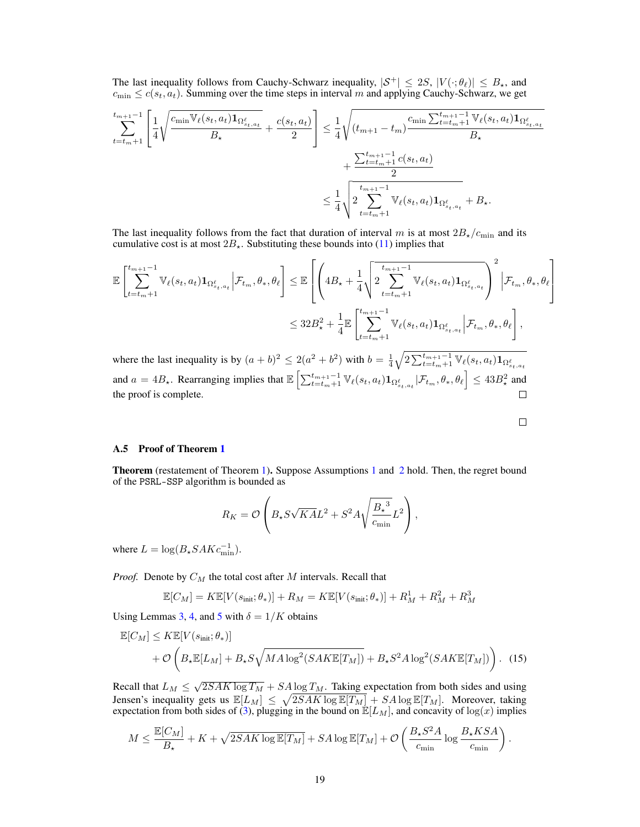The last inequality follows from Cauchy-Schwarz inequality,  $|S^+| \le 2S$ ,  $|V(\cdot; \theta_\ell)| \le B_*$ , and  $c_{\min} \leq c(s_t, a_t)$ . Summing over the time steps in interval m and applying Cauchy-Schwarz, we get

$$
\sum_{t=t_{m}+1}^{t_{m+1}-1} \left[ \frac{1}{4} \sqrt{\frac{c_{\min} \mathbb{V}_{\ell}(s_{t}, a_{t}) \mathbf{1}_{\Omega_{s_{t}, a_{t}}^{\ell}}}{B_{\star}}} + \frac{c(s_{t}, a_{t})}{2} \right] \leq \frac{1}{4} \sqrt{\frac{(t_{m+1} - t_{m}) \frac{c_{\min} \sum t_{t=t_{m}+1}^{t_{m+1}-1} \mathbb{V}_{\ell}(s_{t}, a_{t}) \mathbf{1}_{\Omega_{s_{t}, a_{t}}^{\ell}}}{B_{\star}} + \frac{\sum t_{t=t_{m}+1}^{t_{m+1}-1} c(s_{t}, a_{t})}{2}}{\frac{1}{4} \sqrt{\frac{t_{m+1}-1}{2} \mathbb{V}_{\ell}(s_{t}, a_{t}) \mathbf{1}_{\Omega_{s_{t}, a_{t}}^{\ell}} + B_{\star}}}.
$$

The last inequality follows from the fact that duration of interval m is at most  $2B_{\star}/c_{\text{min}}$  and its cumulative cost is at most  $2B_{\star}$ . Substituting these bounds into [\(11\)](#page-17-4) implies that

$$
\mathbb{E}\left[\sum_{t=t_{m}+1}^{t_{m+1}-1} \mathbb{V}_{\ell}(s_{t}, a_{t})\mathbf{1}_{\Omega_{s_{t}, a_{t}}^{\ell}}\Big|\mathcal{F}_{t_{m}}, \theta_{*}, \theta_{\ell}\right] \leq \mathbb{E}\left[\left(4B_{\star} + \frac{1}{4}\sqrt{2\sum_{t=t_{m}+1}^{t_{m+1}-1} \mathbb{V}_{\ell}(s_{t}, a_{t})\mathbf{1}_{\Omega_{s_{t}, a_{t}}^{\ell}}}\right)^{2}\Big|\mathcal{F}_{t_{m}}, \theta_{*}, \theta_{\ell}\right] \leq 32B_{\star}^{2} + \frac{1}{4}\mathbb{E}\left[\sum_{t=t_{m}+1}^{t_{m+1}-1} \mathbb{V}_{\ell}(s_{t}, a_{t})\mathbf{1}_{\Omega_{s_{t}, a_{t}}^{\ell}}\Big|\mathcal{F}_{t_{m}}, \theta_{*}, \theta_{\ell}\right],
$$

where the last inequality is by  $(a+b)^2 \leq 2(a^2+b^2)$  with  $b = \frac{1}{4} \sqrt{2 \sum_{t=t_m+1}^{t_{m+1}-1} \mathbb{V}_{\ell}(s_t, a_t) \mathbf{1}_{\Omega_{s_t,a_t}^{\ell}} }$ and  $a = 4B_{\star}$ . Rearranging implies that  $\mathbb{E}\left[\sum_{t=t_m+1}^{t_{m+1}-1} \mathbb{V}_{\ell}(s_t, a_t) \mathbf{1}_{\Omega_{s_t, a_t}^{\ell}} | \mathcal{F}_{t_m}, \theta_{\star}, \theta_{\ell}\right] \le 43B_{\star}^2$  and the proof is complete.  $\Box$ 

<span id="page-18-0"></span>

#### A.5 Proof of Theorem [1](#page-4-3)

Theorem (restatement of Theorem [1\)](#page-4-3). Suppose Assumptions [1](#page-2-0) and [2](#page-4-1) hold. Then, the regret bound of the PSRL-SSP algorithm is bounded as

$$
R_K = \mathcal{O}\left(B_\star S \sqrt{K A} L^2 + S^2 A \sqrt{\frac{B_\star^3}{c_{\min}}} L^2\right),\,
$$

where  $L = \log(B_* SAKc_{\text{min}}^{-1}).$ 

*Proof.* Denote by  $C_M$  the total cost after  $M$  intervals. Recall that

$$
\mathbb{E}[C_M] = K \mathbb{E}[V(s_{\text{init}}; \theta_*)] + R_M = K \mathbb{E}[V(s_{\text{init}}; \theta_*)] + R_M^1 + R_M^2 + R_M^3
$$

Using Lemmas [3,](#page-6-0) [4,](#page-6-1) and [5](#page-7-1) with  $\delta = 1/K$  obtains

$$
\mathbb{E}[C_M] \leq K \mathbb{E}[V(s_{\text{init}}; \theta_*)]
$$
  
+  $\mathcal{O}\left(B_{\star}\mathbb{E}[L_M] + B_{\star}S\sqrt{MA\log^2(SAK\mathbb{E}[T_M])} + B_{\star}S^2A\log^2(SAK\mathbb{E}[T_M])\right)$ . (15)

Recall that  $L_M \leq \sqrt{2SAK \log T_M} + SA \log T_M$ . Taking expectation from both sides and using Jensen's inequality gets us  $\mathbb{E}[L_M] \leq \sqrt{2SAK \log \mathbb{E}[T_M]} + SA \log \mathbb{E}[T_M]$ . Moreover, taking expectation from both sides of [\(3\)](#page-5-3), plugging in the bound on  $\mathbb{E}[L_M]$ , and concavity of log(x) implies

$$
M \leq \frac{\mathbb{E}[C_M]}{B_{\star}} + K + \sqrt{2SAK \log \mathbb{E}[T_M]} + SA \log \mathbb{E}[T_M] + \mathcal{O}\left(\frac{B_{\star}S^2A}{c_{\min}} \log \frac{B_{\star}KSA}{c_{\min}}\right).
$$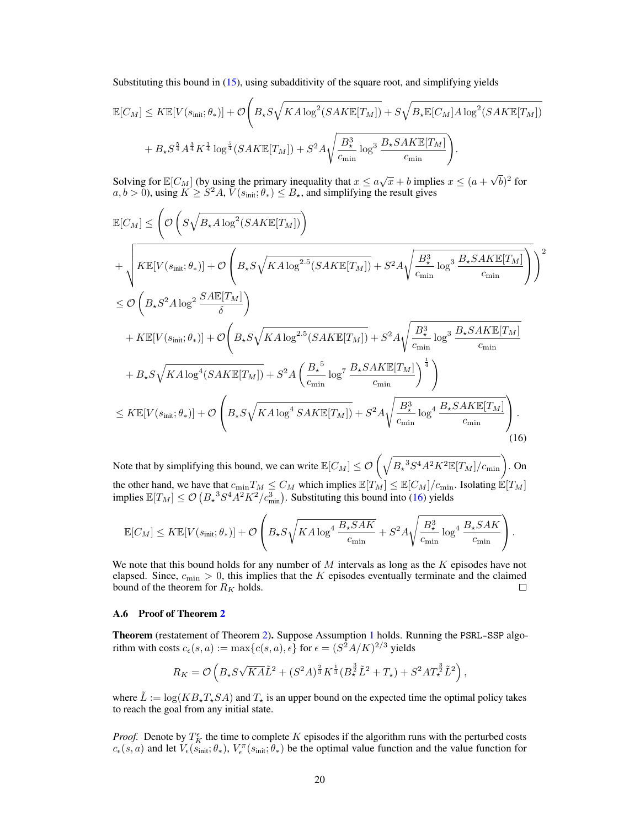Substituting this bound in [\(15\)](#page-18-0), using subadditivity of the square root, and simplifying yields

$$
\mathbb{E}[C_M] \leq K \mathbb{E}[V(s_{\text{init}}; \theta_*)] + \mathcal{O}\left(B_\star S \sqrt{KA \log^2(SAK\mathbb{E}[T_M])} + S\sqrt{B_\star \mathbb{E}[C_M]A \log^2(SAK\mathbb{E}[T_M])}\right) + B_\star S^{\frac{5}{4}} A^{\frac{3}{4}} K^{\frac{1}{4}} \log^{\frac{5}{4}} (SAK\mathbb{E}[T_M]) + S^2 A \sqrt{\frac{B_\star^3}{c_{\text{min}}}} \log^3 \frac{B_\star SAK\mathbb{E}[T_M]}{c_{\text{min}}}\right).
$$

Solving for  $\mathbb{E}[C_M]$  (by using the primary inequality that  $x \le a\sqrt{x} + b$  implies  $x \le (a + b)^2$ √  $\overline{b})^2$  for  $a, b > 0$ ), using  $K \geq S^2 A$ ,  $V(s_{\text{init}}; \theta_*) \leq B_{\star}$ , and simplifying the result gives

$$
\mathbb{E}[C_{M}] \leq \left(\mathcal{O}\left(S\sqrt{B_{\star}A\log^{2}(SAKE[T_{M}])}\right)\right) \n+ \sqrt{K\mathbb{E}[V(s_{\text{init}};\theta_{*})] + \mathcal{O}\left(B_{\star}S\sqrt{KA\log^{2.5}(SAKE[T_{M}])} + S^{2}A\sqrt{\frac{B_{\star}^{3}}{c_{\text{min}}}\log^{3}\frac{B_{\star}SAKE[T_{M}]}{c_{\text{min}}}}\right)}\right)^{2} \n\leq \mathcal{O}\left(B_{\star}S^{2}A\log^{2}\frac{SA\mathbb{E}[T_{M}]}{\delta}\right) \n+ K\mathbb{E}[V(s_{\text{init}};\theta_{*})] + \mathcal{O}\left(B_{\star}S\sqrt{KA\log^{2.5}(SAKE[T_{M}])} + S^{2}A\sqrt{\frac{B_{\star}^{3}}{c_{\text{min}}}\log^{3}\frac{B_{\star}SAKE[T_{M}]}{c_{\text{min}}}}\right) \n+ B_{\star}S\sqrt{KA\log^{4}(SAKE[T_{M}])} + S^{2}A\left(\frac{B_{\star}^{5}}{c_{\text{min}}}\log^{7}\frac{B_{\star}SAKE[T_{M}]}{c_{\text{min}}}\right)^{\frac{1}{4}}\right) \n\leq K\mathbb{E}[V(s_{\text{init}};\theta_{*})] + \mathcal{O}\left(B_{\star}S\sqrt{KA\log^{4}SAKE[T_{M}])} + S^{2}A\sqrt{\frac{B_{\star}^{3}}{c_{\text{min}}}\log^{4}\frac{B_{\star}SAKE[T_{M}]}{c_{\text{min}}}}\right).
$$
\n(16)

Note that by simplifying this bound, we can write  $\mathbb{E}[C_M] \leq \mathcal{O}\left(\sqrt{B_{\star}^3 S^4 A^2 K^2 \mathbb{E}[T_M]/c_{\min}}\right)$ . On the other hand, we have that  $c_{\min}T_M \leq C_M$  which implies  $\mathbb{E}[T_M] \leq \mathbb{E}[C_M]/c_{\min}$ . Isolating  $\mathbb{E}[T_M]$ implies  $\mathbb{E}[T_M] \le \mathcal{O}\left(B_*^{-3} S^4 A^2 K^2 / c_{\text{min}}^3\right)$ . Substituting this bound into [\(16\)](#page-19-0) yields

<span id="page-19-0"></span>
$$
\mathbb{E}[C_M] \leq K \mathbb{E}[V(s_{\text{init}};\theta_*)] + \mathcal{O}\left(B_\star S \sqrt{KA\log^4 \frac{B_\star SAK}{c_{\text{min}}}} + S^2 A \sqrt{\frac{B_\star^3}{c_{\text{min}}}\log^4 \frac{B_\star SAK}{c_{\text{min}}}}\right).
$$

We note that this bound holds for any number of  $M$  intervals as long as the  $K$  episodes have not elapsed. Since,  $c_{\min} > 0$ , this implies that the K episodes eventually terminate and the claimed bound of the theorem for  $R_K$  holds.  $\Box$ 

#### A.6 Proof of Theorem [2](#page-4-2)

Theorem (restatement of Theorem [2\)](#page-4-2). Suppose Assumption [1](#page-2-0) holds. Running the PSRL-SSP algorithm with costs  $c_{\epsilon}(s, a) := \max\{c(s, a), \epsilon\}$  for  $\epsilon = (S^2 A/K)^{2/3}$  yields

$$
R_K = \mathcal{O}\left(B_\star S\sqrt{KA\tilde{L}}^2 + (S^2A)^{\frac{2}{3}}K^{\frac{1}{3}}(B_\star^{\frac{3}{2}}\tilde{L}^2 + T_\star) + S^2AT_\star^{\frac{3}{2}}\tilde{L}^2\right),\,
$$

where  $\tilde{L} := \log(KB_*T_*SA)$  and  $T_*$  is an upper bound on the expected time the optimal policy takes to reach the goal from any initial state.

*Proof.* Denote by  $T_K^{\epsilon}$  the time to complete K episodes if the algorithm runs with the perturbed costs  $c_{\epsilon}(s, a)$  and let  $V_{\epsilon}(s_{\text{init}}; \theta_*)$ ,  $V_{\epsilon}^{\pi}(s_{\text{init}}; \theta_*)$  be the optimal value function and the value function for